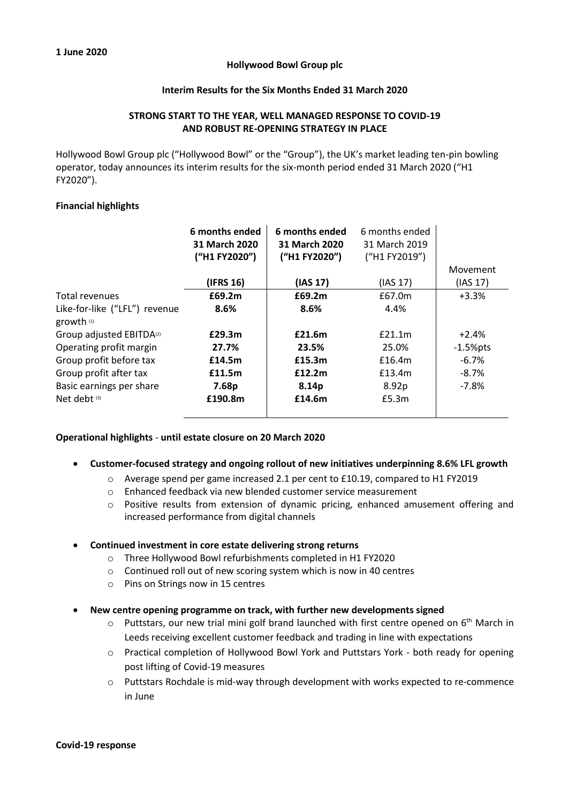## **Hollywood Bowl Group plc**

# **Interim Results for the Six Months Ended 31 March 2020**

# **STRONG START TO THE YEAR, WELL MANAGED RESPONSE TO COVID-19 AND ROBUST RE-OPENING STRATEGY IN PLACE**

Hollywood Bowl Group plc ("Hollywood Bowl" or the "Group"), the UK's market leading ten-pin bowling operator, today announces its interim results for the six-month period ended 31 March 2020 ("H1 FY2020").

### **Financial highlights**

|                                      | 6 months ended<br>31 March 2020<br>("H1 FY2020") | 6 months ended<br>31 March 2020<br>("H1 FY2020") | 6 months ended<br>31 March 2019<br>("H1 FY2019") |             |
|--------------------------------------|--------------------------------------------------|--------------------------------------------------|--------------------------------------------------|-------------|
|                                      |                                                  |                                                  |                                                  | Movement    |
|                                      | (IFRS 16)                                        | (IAS 17)                                         | (IAS 17)                                         | (IAS 17)    |
| Total revenues                       | £69.2m                                           | £69.2m                                           | £67.0m                                           | $+3.3%$     |
| Like-for-like ("LFL") revenue        | 8.6%                                             | 8.6%                                             | 4.4%                                             |             |
| growth (1)                           |                                                  |                                                  |                                                  |             |
| Group adjusted EBITDA <sup>(2)</sup> | £29.3m                                           | £21.6m                                           | £21.1m                                           | $+2.4%$     |
| Operating profit margin              | 27.7%                                            | 23.5%                                            | 25.0%                                            | $-1.5%$ pts |
| Group profit before tax              | £14.5m                                           | £15.3m                                           | £16.4m                                           | $-6.7%$     |
| Group profit after tax               | £11.5m                                           | £12.2m                                           | £13.4m                                           | $-8.7\%$    |
| Basic earnings per share             | 7.68p                                            | 8.14p                                            | 8.92p                                            | $-7.8%$     |
| Net debt <sup>(3)</sup>              | £190.8m                                          | £14.6m                                           | £5.3m                                            |             |
|                                      |                                                  |                                                  |                                                  |             |

## **Operational highlights** - **until estate closure on 20 March 2020**

#### • **Customer-focused strategy and ongoing rollout of new initiatives underpinning 8.6% LFL growth**

- o Average spend per game increased 2.1 per cent to £10.19, compared to H1 FY2019
- o Enhanced feedback via new blended customer service measurement
- $\circ$  Positive results from extension of dynamic pricing, enhanced amusement offering and increased performance from digital channels

## • **Continued investment in core estate delivering strong returns**

- o Three Hollywood Bowl refurbishments completed in H1 FY2020
- o Continued roll out of new scoring system which is now in 40 centres
- o Pins on Strings now in 15 centres

## • **New centre opening programme on track, with further new developments signed**

- $\circ$  Puttstars, our new trial mini golf brand launched with first centre opened on 6<sup>th</sup> March in Leeds receiving excellent customer feedback and trading in line with expectations
- o Practical completion of Hollywood Bowl York and Puttstars York both ready for opening post lifting of Covid-19 measures
- o Puttstars Rochdale is mid-way through development with works expected to re-commence in June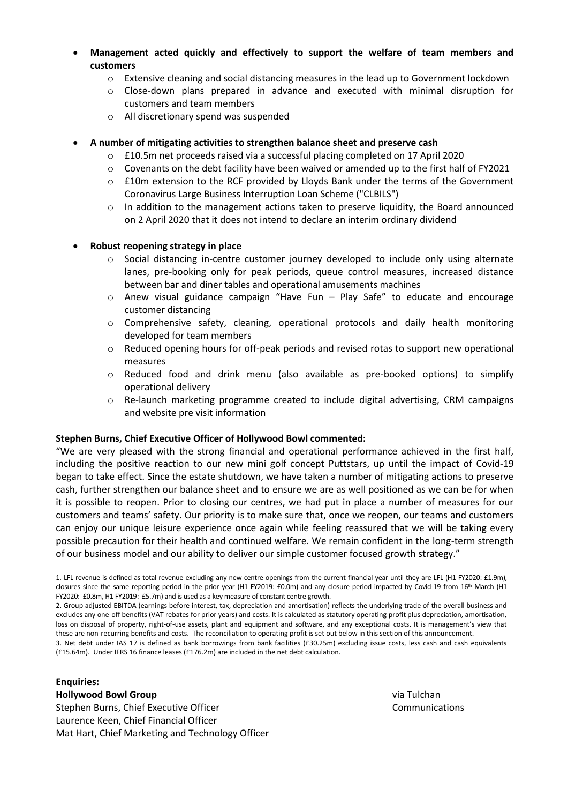• **Management acted quickly and effectively to support the welfare of team members and customers** 

- o Extensive cleaning and social distancing measures in the lead up to Government lockdown
- o Close-down plans prepared in advance and executed with minimal disruption for customers and team members
- o All discretionary spend was suspended

# • **A number of mitigating activities to strengthen balance sheet and preserve cash**

- $\circ$  £10.5m net proceeds raised via a successful placing completed on 17 April 2020
- $\circ$  Covenants on the debt facility have been waived or amended up to the first half of FY2021
- o £10m extension to the RCF provided by Lloyds Bank under the terms of the Government Coronavirus Large Business Interruption Loan Scheme ("CLBILS")
- $\circ$  In addition to the management actions taken to preserve liquidity, the Board announced on 2 April 2020 that it does not intend to declare an interim ordinary dividend

# • **Robust reopening strategy in place**

- $\circ$  Social distancing in-centre customer journey developed to include only using alternate lanes, pre-booking only for peak periods, queue control measures, increased distance between bar and diner tables and operational amusements machines
- $\circ$  Anew visual guidance campaign "Have Fun Play Safe" to educate and encourage customer distancing
- $\circ$  Comprehensive safety, cleaning, operational protocols and daily health monitoring developed for team members
- o Reduced opening hours for off-peak periods and revised rotas to support new operational measures
- o Reduced food and drink menu (also available as pre-booked options) to simplify operational delivery
- $\circ$  Re-launch marketing programme created to include digital advertising, CRM campaigns and website pre visit information

## **Stephen Burns, Chief Executive Officer of Hollywood Bowl commented:**

"We are very pleased with the strong financial and operational performance achieved in the first half, including the positive reaction to our new mini golf concept Puttstars, up until the impact of Covid-19 began to take effect. Since the estate shutdown, we have taken a number of mitigating actions to preserve cash, further strengthen our balance sheet and to ensure we are as well positioned as we can be for when it is possible to reopen. Prior to closing our centres, we had put in place a number of measures for our customers and teams' safety. Our priority is to make sure that, once we reopen, our teams and customers can enjoy our unique leisure experience once again while feeling reassured that we will be taking every possible precaution for their health and continued welfare. We remain confident in the long-term strength of our business model and our ability to deliver our simple customer focused growth strategy."

3. Net debt under IAS 17 is defined as bank borrowings from bank facilities (£30.25m) excluding issue costs, less cash and cash equivalents (£15.64m). Under IFRS 16 finance leases (£176.2m) are included in the net debt calculation.

## **Enquiries:**

## **Hollywood Bowl Group**

Stephen Burns, Chief Executive Officer Laurence Keen, Chief Financial Officer Mat Hart, Chief Marketing and Technology Officer via Tulchan Communications

<sup>1.</sup> LFL revenue is defined as total revenue excluding any new centre openings from the current financial year until they are LFL (H1 FY2020: £1.9m), closures since the same reporting period in the prior year (H1 FY2019: £0.0m) and any closure period impacted by Covid-19 from 16<sup>th</sup> March (H1 FY2020: £0.8m, H1 FY2019: £5.7m) and is used as a key measure of constant centre growth.

<sup>2.</sup> Group adjusted EBITDA (earnings before interest, tax, depreciation and amortisation) reflects the underlying trade of the overall business and excludes any one-off benefits (VAT rebates for prior years) and costs. It is calculated as statutory operating profit plus depreciation, amortisation, loss on disposal of property, right-of-use assets, plant and equipment and software, and any exceptional costs. It is management's view that these are non-recurring benefits and costs. The reconciliation to operating profit is set out below in this section of this announcement.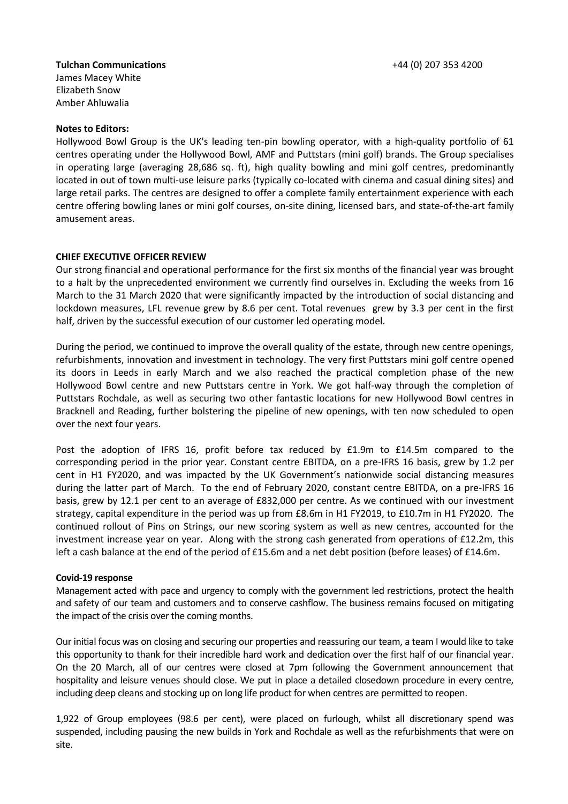# **Tulchan Communications**

James Macey White Elizabeth Snow Amber Ahluwalia

## **Notes to Editors:**

Hollywood Bowl Group is the UK's leading ten-pin bowling operator, with a high-quality portfolio of 61 centres operating under the Hollywood Bowl, AMF and Puttstars (mini golf) brands. The Group specialises in operating large (averaging 28,686 sq. ft), high quality bowling and mini golf centres, predominantly located in out of town multi-use leisure parks (typically co-located with cinema and casual dining sites) and large retail parks. The centres are designed to offer a complete family entertainment experience with each centre offering bowling lanes or mini golf courses, on-site dining, licensed bars, and state-of-the-art family amusement areas.

## **CHIEF EXECUTIVE OFFICER REVIEW**

Our strong financial and operational performance for the first six months of the financial year was brought to a halt by the unprecedented environment we currently find ourselves in. Excluding the weeks from 16 March to the 31 March 2020 that were significantly impacted by the introduction of social distancing and lockdown measures, LFL revenue grew by 8.6 per cent. Total revenues grew by 3.3 per cent in the first half, driven by the successful execution of our customer led operating model.

During the period, we continued to improve the overall quality of the estate, through new centre openings, refurbishments, innovation and investment in technology. The very first Puttstars mini golf centre opened its doors in Leeds in early March and we also reached the practical completion phase of the new Hollywood Bowl centre and new Puttstars centre in York. We got half-way through the completion of Puttstars Rochdale, as well as securing two other fantastic locations for new Hollywood Bowl centres in Bracknell and Reading, further bolstering the pipeline of new openings, with ten now scheduled to open over the next four years.

Post the adoption of IFRS 16, profit before tax reduced by £1.9m to £14.5m compared to the corresponding period in the prior year. Constant centre EBITDA, on a pre-IFRS 16 basis, grew by 1.2 per cent in H1 FY2020, and was impacted by the UK Government's nationwide social distancing measures during the latter part of March. To the end of February 2020, constant centre EBITDA, on a pre-IFRS 16 basis, grew by 12.1 per cent to an average of £832,000 per centre. As we continued with our investment strategy, capital expenditure in the period was up from £8.6m in H1 FY2019, to £10.7m in H1 FY2020. The continued rollout of Pins on Strings, our new scoring system as well as new centres, accounted for the investment increase year on year. Along with the strong cash generated from operations of £12.2m, this left a cash balance at the end of the period of £15.6m and a net debt position (before leases) of £14.6m.

## **Covid-19 response**

Management acted with pace and urgency to comply with the government led restrictions, protect the health and safety of our team and customers and to conserve cashflow. The business remains focused on mitigating the impact of the crisis over the coming months.

Our initial focus was on closing and securing our properties and reassuring our team, a team I would like to take this opportunity to thank for their incredible hard work and dedication over the first half of our financial year. On the 20 March, all of our centres were closed at 7pm following the Government announcement that hospitality and leisure venues should close. We put in place a detailed closedown procedure in every centre, including deep cleans and stocking up on long life product for when centres are permitted to reopen.

1,922 of Group employees (98.6 per cent), were placed on furlough, whilst all discretionary spend was suspended, including pausing the new builds in York and Rochdale as well as the refurbishments that were on site.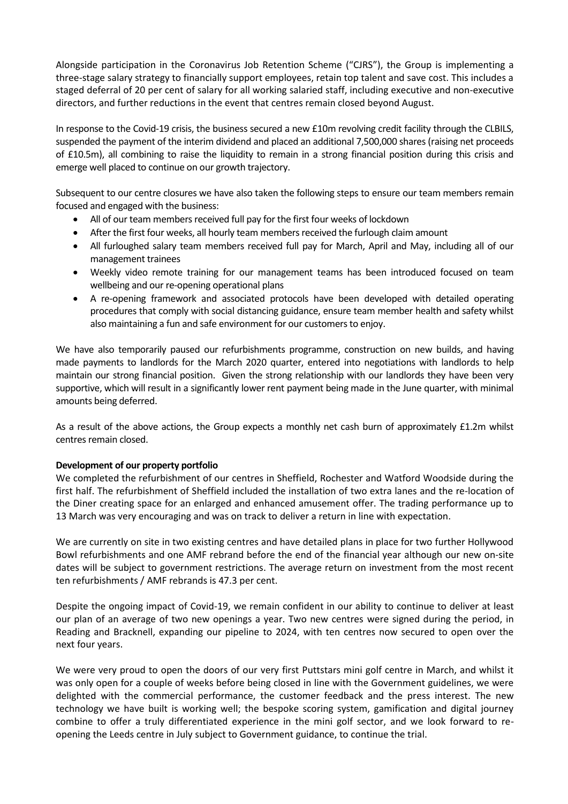Alongside participation in the Coronavirus Job Retention Scheme ("CJRS"), the Group is implementing a three-stage salary strategy to financially support employees, retain top talent and save cost. This includes a staged deferral of 20 per cent of salary for all working salaried staff, including executive and non-executive directors, and further reductions in the event that centres remain closed beyond August.

In response to the Covid-19 crisis, the business secured a new £10m revolving credit facility through the CLBILS, suspended the payment of the interim dividend and placed an additional 7,500,000 shares (raising net proceeds of £10.5m), all combining to raise the liquidity to remain in a strong financial position during this crisis and emerge well placed to continue on our growth trajectory.

Subsequent to our centre closures we have also taken the following steps to ensure our team members remain focused and engaged with the business:

- All of our team members received full pay for the first four weeks of lockdown
- After the first four weeks, all hourly team members received the furlough claim amount
- All furloughed salary team members received full pay for March, April and May, including all of our management trainees
- Weekly video remote training for our management teams has been introduced focused on team wellbeing and our re-opening operational plans
- A re-opening framework and associated protocols have been developed with detailed operating procedures that comply with social distancing guidance, ensure team member health and safety whilst also maintaining a fun and safe environment for our customers to enjoy.

We have also temporarily paused our refurbishments programme, construction on new builds, and having made payments to landlords for the March 2020 quarter, entered into negotiations with landlords to help maintain our strong financial position. Given the strong relationship with our landlords they have been very supportive, which will result in a significantly lower rent payment being made in the June quarter, with minimal amounts being deferred.

As a result of the above actions, the Group expects a monthly net cash burn of approximately £1.2m whilst centres remain closed.

## **Development of our property portfolio**

We completed the refurbishment of our centres in Sheffield, Rochester and Watford Woodside during the first half. The refurbishment of Sheffield included the installation of two extra lanes and the re-location of the Diner creating space for an enlarged and enhanced amusement offer. The trading performance up to 13 March was very encouraging and was on track to deliver a return in line with expectation.

We are currently on site in two existing centres and have detailed plans in place for two further Hollywood Bowl refurbishments and one AMF rebrand before the end of the financial year although our new on-site dates will be subject to government restrictions. The average return on investment from the most recent ten refurbishments / AMF rebrands is 47.3 per cent.

Despite the ongoing impact of Covid-19, we remain confident in our ability to continue to deliver at least our plan of an average of two new openings a year. Two new centres were signed during the period, in Reading and Bracknell, expanding our pipeline to 2024, with ten centres now secured to open over the next four years.

We were very proud to open the doors of our very first Puttstars mini golf centre in March, and whilst it was only open for a couple of weeks before being closed in line with the Government guidelines, we were delighted with the commercial performance, the customer feedback and the press interest. The new technology we have built is working well; the bespoke scoring system, gamification and digital journey combine to offer a truly differentiated experience in the mini golf sector, and we look forward to reopening the Leeds centre in July subject to Government guidance, to continue the trial.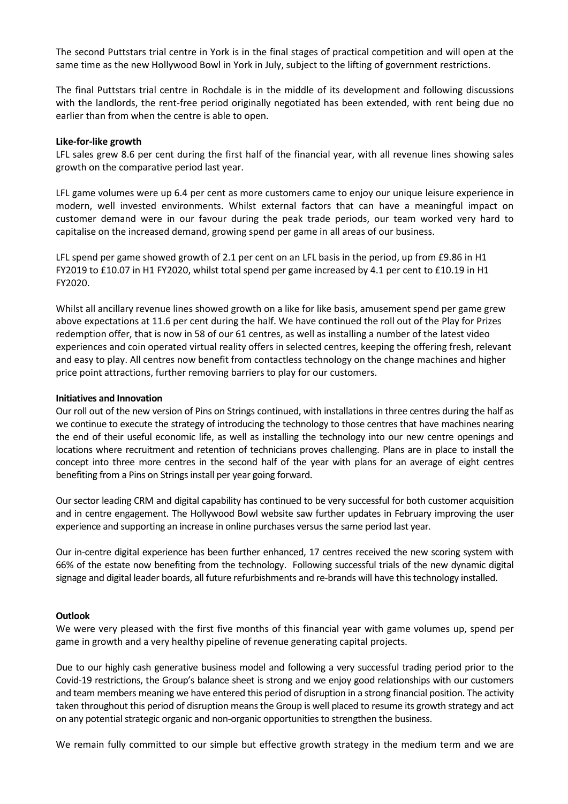The second Puttstars trial centre in York is in the final stages of practical competition and will open at the same time as the new Hollywood Bowl in York in July, subject to the lifting of government restrictions.

The final Puttstars trial centre in Rochdale is in the middle of its development and following discussions with the landlords, the rent-free period originally negotiated has been extended, with rent being due no earlier than from when the centre is able to open.

### **Like-for-like growth**

LFL sales grew 8.6 per cent during the first half of the financial year, with all revenue lines showing sales growth on the comparative period last year.

LFL game volumes were up 6.4 per cent as more customers came to enjoy our unique leisure experience in modern, well invested environments. Whilst external factors that can have a meaningful impact on customer demand were in our favour during the peak trade periods, our team worked very hard to capitalise on the increased demand, growing spend per game in all areas of our business.

LFL spend per game showed growth of 2.1 per cent on an LFL basis in the period, up from £9.86 in H1 FY2019 to £10.07 in H1 FY2020, whilst total spend per game increased by 4.1 per cent to £10.19 in H1 FY2020.

Whilst all ancillary revenue lines showed growth on a like for like basis, amusement spend per game grew above expectations at 11.6 per cent during the half. We have continued the roll out of the Play for Prizes redemption offer, that is now in 58 of our 61 centres, as well as installing a number of the latest video experiences and coin operated virtual reality offers in selected centres, keeping the offering fresh, relevant and easy to play. All centres now benefit from contactless technology on the change machines and higher price point attractions, further removing barriers to play for our customers.

## **Initiatives and Innovation**

Our roll out of the new version of Pins on Strings continued, with installations in three centres during the half as we continue to execute the strategy of introducing the technology to those centres that have machines nearing the end of their useful economic life, as well as installing the technology into our new centre openings and locations where recruitment and retention of technicians proves challenging. Plans are in place to install the concept into three more centres in the second half of the year with plans for an average of eight centres benefiting from a Pins on Strings install per year going forward.

Our sector leading CRM and digital capability has continued to be very successful for both customer acquisition and in centre engagement. The Hollywood Bowl website saw further updates in February improving the user experience and supporting an increase in online purchases versus the same period last year.

Our in-centre digital experience has been further enhanced, 17 centres received the new scoring system with 66% of the estate now benefiting from the technology. Following successful trials of the new dynamic digital signage and digital leader boards, all future refurbishments and re-brands will have this technology installed.

## **Outlook**

We were very pleased with the first five months of this financial year with game volumes up, spend per game in growth and a very healthy pipeline of revenue generating capital projects.

Due to our highly cash generative business model and following a very successful trading period prior to the Covid-19 restrictions, the Group's balance sheet is strong and we enjoy good relationships with our customers and team members meaning we have entered this period of disruption in a strong financial position. The activity taken throughout this period of disruption means the Group is well placed to resume its growth strategy and act on any potential strategic organic and non-organic opportunities to strengthen the business.

We remain fully committed to our simple but effective growth strategy in the medium term and we are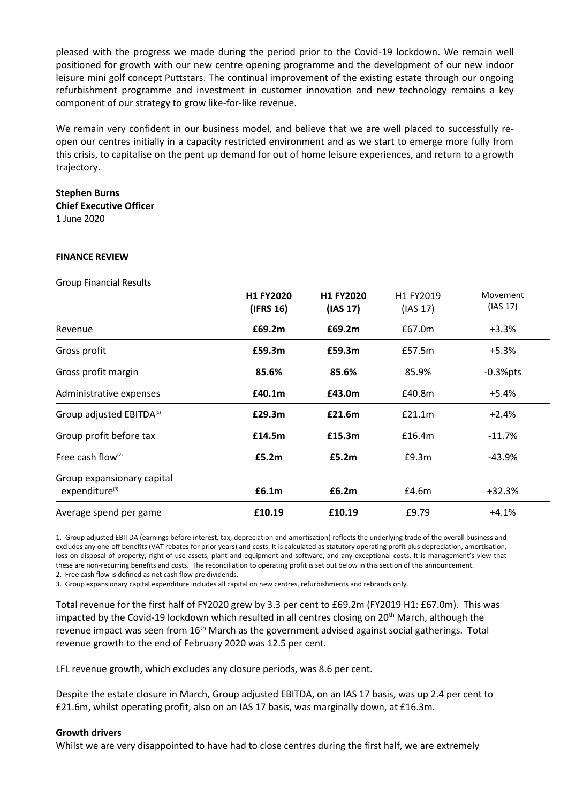pleased with the progress we made during the period prior to the Covid-19 lockdown. We remain well positioned for growth with our new centre opening programme and the development of our new indoor leisure mini golf concept Puttstars. The continual improvement of the existing estate through our ongoing refurbishment programme and investment in customer innovation and new technology remains a key component of our strategy to grow like-for-like revenue.

We remain very confident in our business model, and believe that we are well placed to successfully reopen our centres initially in a capacity restricted environment and as we start to emerge more fully from this crisis, to capitalise on the pent up demand for out of home leisure experiences, and return to a growth trajectory.

## **Stephen Burns**

**Chief Executive Officer** 1 June 2020

### **FINANCE REVIEW**

Group Financial Results

|                                                          | H1 FY2020<br>(IFRS 16) | H1 FY2020<br>(IAS 17) | H1 FY2019<br>(IAS 17) | Movement<br>(IAS 17) |
|----------------------------------------------------------|------------------------|-----------------------|-----------------------|----------------------|
| Revenue                                                  | £69.2m                 | £69.2m                | £67.0m                | $+3.3%$              |
| Gross profit                                             | £59.3m                 | £59.3m                | £57.5m                | $+5.3%$              |
| Gross profit margin                                      | 85.6%                  | 85.6%                 | 85.9%                 | $-0.3%$ pts          |
| Administrative expenses                                  | £40.1m                 | £43.0m                | £40.8m                | $+5.4%$              |
| Group adjusted EBITDA <sup>(1)</sup>                     | £29.3m                 | £21.6m                | £21.1m                | $+2.4%$              |
| Group profit before tax                                  | £14.5m                 | £15.3m                | £16.4m                | $-11.7%$             |
| Free cash flow $(2)$                                     | £5.2m                  | £5.2m                 | £9.3m                 | $-43.9%$             |
| Group expansionary capital<br>expenditure <sup>(3)</sup> | £6.1m                  | £6.2m                 | £4.6m                 | $+32.3%$             |
| Average spend per game                                   | £10.19                 | £10.19                | £9.79                 | $+4.1%$              |

1. Group adjusted EBITDA (earnings before interest, tax, depreciation and amortisation) reflects the underlying trade of the overall business and excludes any one-off benefits (VAT rebates for prior years) and costs. It is calculated as statutory operating profit plus depreciation, amortisation, loss on disposal of property, right-of-use assets, plant and equipment and software, and any exceptional costs. It is management's view that these are non-recurring benefits and costs. The reconciliation to operating profit is set out below in this section of this announcement. 2. Free cash flow is defined as net cash flow pre dividends.

3. Group expansionary capital expenditure includes all capital on new centres, refurbishments and rebrands only.

Total revenue for the first half of FY2020 grew by 3.3 per cent to £69.2m (FY2019 H1: £67.0m). This was impacted by the Covid-19 lockdown which resulted in all centres closing on 20<sup>th</sup> March, although the revenue impact was seen from 16<sup>th</sup> March as the government advised against social gatherings. Total revenue growth to the end of February 2020 was 12.5 per cent.

LFL revenue growth, which excludes any closure periods, was 8.6 per cent.

Despite the estate closure in March, Group adjusted EBITDA, on an IAS 17 basis, was up 2.4 per cent to £21.6m, whilst operating profit, also on an IAS 17 basis, was marginally down, at £16.3m.

## **Growth drivers**

Whilst we are very disappointed to have had to close centres during the first half, we are extremely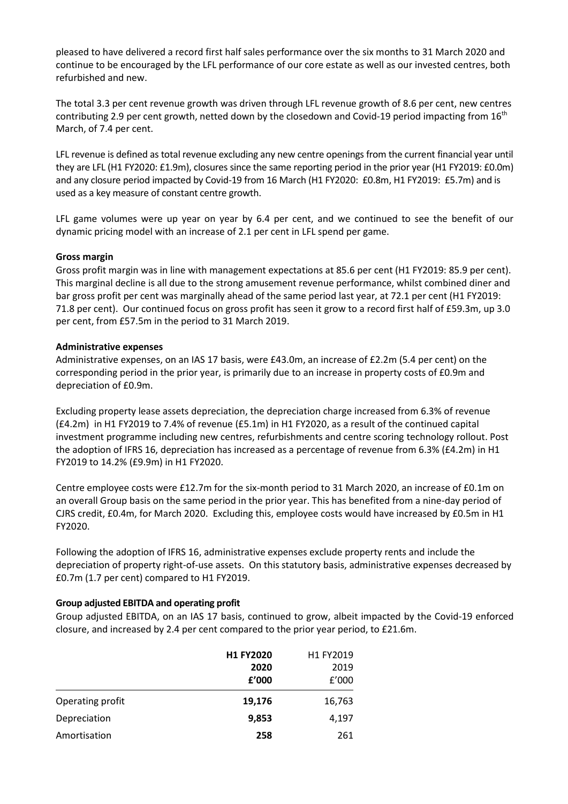pleased to have delivered a record first half sales performance over the six months to 31 March 2020 and continue to be encouraged by the LFL performance of our core estate as well as our invested centres, both refurbished and new.

The total 3.3 per cent revenue growth was driven through LFL revenue growth of 8.6 per cent, new centres contributing 2.9 per cent growth, netted down by the closedown and Covid-19 period impacting from  $16<sup>th</sup>$ March, of 7.4 per cent.

LFL revenue is defined as total revenue excluding any new centre openings from the current financial year until they are LFL (H1 FY2020: £1.9m), closures since the same reporting period in the prior year (H1 FY2019: £0.0m) and any closure period impacted by Covid-19 from 16 March (H1 FY2020: £0.8m, H1 FY2019: £5.7m) and is used as a key measure of constant centre growth.

LFL game volumes were up year on year by 6.4 per cent, and we continued to see the benefit of our dynamic pricing model with an increase of 2.1 per cent in LFL spend per game.

## **Gross margin**

Gross profit margin was in line with management expectations at 85.6 per cent (H1 FY2019: 85.9 per cent). This marginal decline is all due to the strong amusement revenue performance, whilst combined diner and bar gross profit per cent was marginally ahead of the same period last year, at 72.1 per cent (H1 FY2019: 71.8 per cent). Our continued focus on gross profit has seen it grow to a record first half of £59.3m, up 3.0 per cent, from £57.5m in the period to 31 March 2019.

## **Administrative expenses**

Administrative expenses, on an IAS 17 basis, were £43.0m, an increase of £2.2m (5.4 per cent) on the corresponding period in the prior year, is primarily due to an increase in property costs of £0.9m and depreciation of £0.9m.

Excluding property lease assets depreciation, the depreciation charge increased from 6.3% of revenue (£4.2m) in H1 FY2019 to 7.4% of revenue (£5.1m) in H1 FY2020, as a result of the continued capital investment programme including new centres, refurbishments and centre scoring technology rollout. Post the adoption of IFRS 16, depreciation has increased as a percentage of revenue from 6.3% (£4.2m) in H1 FY2019 to 14.2% (£9.9m) in H1 FY2020.

Centre employee costs were £12.7m for the six-month period to 31 March 2020, an increase of £0.1m on an overall Group basis on the same period in the prior year. This has benefited from a nine-day period of CJRS credit, £0.4m, for March 2020. Excluding this, employee costs would have increased by £0.5m in H1 FY2020.

Following the adoption of IFRS 16, administrative expenses exclude property rents and include the depreciation of property right-of-use assets. On this statutory basis, administrative expenses decreased by £0.7m (1.7 per cent) compared to H1 FY2019.

## **Group adjusted EBITDA and operating profit**

Group adjusted EBITDA, on an IAS 17 basis, continued to grow, albeit impacted by the Covid-19 enforced closure, and increased by 2.4 per cent compared to the prior year period, to £21.6m.

|                  | <b>H1 FY2020</b> | H1 FY2019 |
|------------------|------------------|-----------|
|                  | 2020             | 2019      |
|                  | f'000            | f'000     |
| Operating profit | 19,176           | 16,763    |
| Depreciation     | 9,853            | 4,197     |
| Amortisation     | 258              | 261       |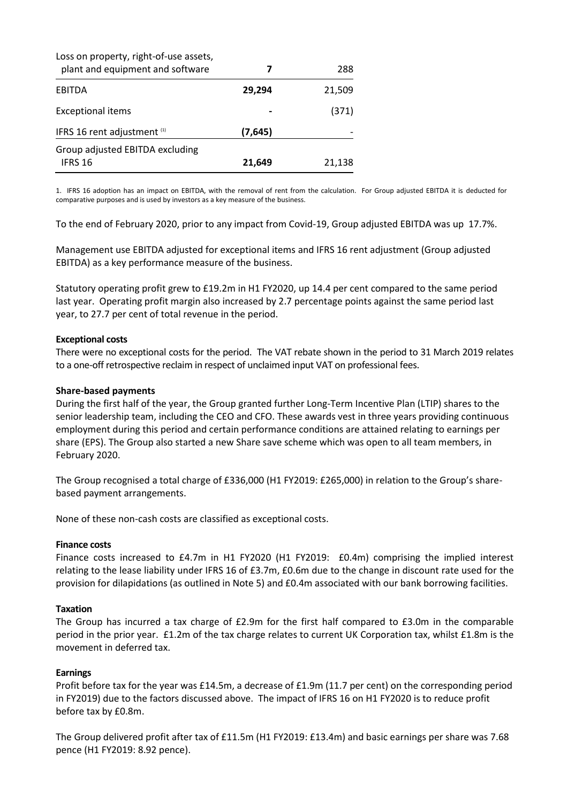| Loss on property, right-of-use assets,<br>plant and equipment and software | 7        | 288    |
|----------------------------------------------------------------------------|----------|--------|
| <b>EBITDA</b>                                                              | 29,294   | 21,509 |
| <b>Exceptional items</b>                                                   |          | (371)  |
| IFRS 16 rent adjustment (1)                                                | (7, 645) |        |
| Group adjusted EBITDA excluding<br>IFRS 16                                 | 21,649   | 21,138 |

1. IFRS 16 adoption has an impact on EBITDA, with the removal of rent from the calculation. For Group adjusted EBITDA it is deducted for comparative purposes and is used by investors as a key measure of the business.

To the end of February 2020, prior to any impact from Covid-19, Group adjusted EBITDA was up 17.7%.

Management use EBITDA adjusted for exceptional items and IFRS 16 rent adjustment (Group adjusted EBITDA) as a key performance measure of the business.

Statutory operating profit grew to £19.2m in H1 FY2020, up 14.4 per cent compared to the same period last year. Operating profit margin also increased by 2.7 percentage points against the same period last year, to 27.7 per cent of total revenue in the period.

### **Exceptional costs**

There were no exceptional costs for the period. The VAT rebate shown in the period to 31 March 2019 relates to a one-off retrospective reclaim in respect of unclaimed input VAT on professional fees.

### **Share-based payments**

During the first half of the year, the Group granted further Long-Term Incentive Plan (LTIP) shares to the senior leadership team, including the CEO and CFO. These awards vest in three years providing continuous employment during this period and certain performance conditions are attained relating to earnings per share (EPS). The Group also started a new Share save scheme which was open to all team members, in February 2020.

The Group recognised a total charge of £336,000 (H1 FY2019: £265,000) in relation to the Group's sharebased payment arrangements.

None of these non-cash costs are classified as exceptional costs.

#### **Finance costs**

Finance costs increased to £4.7m in H1 FY2020 (H1 FY2019: £0.4m) comprising the implied interest relating to the lease liability under IFRS 16 of £3.7m, £0.6m due to the change in discount rate used for the provision for dilapidations (as outlined in Note 5) and £0.4m associated with our bank borrowing facilities.

#### **Taxation**

The Group has incurred a tax charge of £2.9m for the first half compared to £3.0m in the comparable period in the prior year. £1.2m of the tax charge relates to current UK Corporation tax, whilst £1.8m is the movement in deferred tax.

#### **Earnings**

Profit before tax for the year was £14.5m, a decrease of £1.9m (11.7 per cent) on the corresponding period in FY2019) due to the factors discussed above. The impact of IFRS 16 on H1 FY2020 is to reduce profit before tax by £0.8m.

The Group delivered profit after tax of £11.5m (H1 FY2019: £13.4m) and basic earnings per share was 7.68 pence (H1 FY2019: 8.92 pence).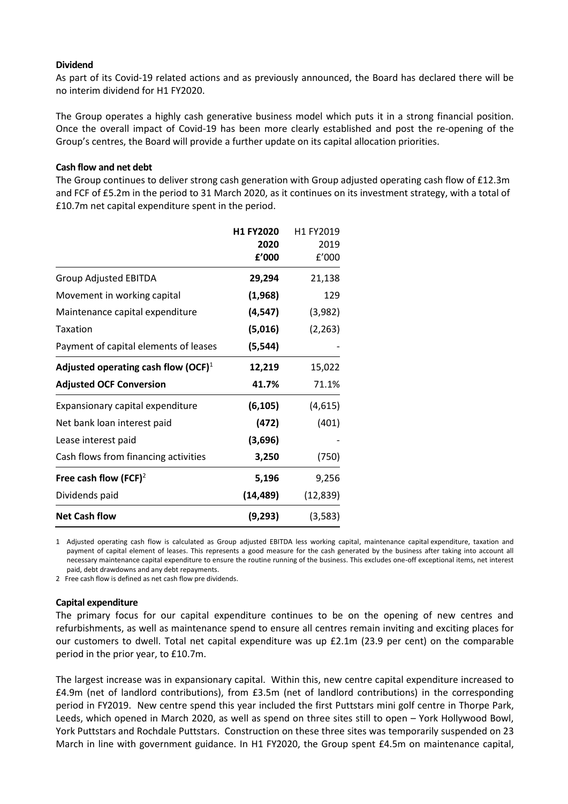### **Dividend**

As part of its Covid-19 related actions and as previously announced, the Board has declared there will be no interim dividend for H1 FY2020.

The Group operates a highly cash generative business model which puts it in a strong financial position. Once the overall impact of Covid-19 has been more clearly established and post the re-opening of the Group's centres, the Board will provide a further update on its capital allocation priorities.

## **Cash flow and net debt**

The Group continues to deliver strong cash generation with Group adjusted operating cash flow of £12.3m and FCF of £5.2m in the period to 31 March 2020, as it continues on its investment strategy, with a total of £10.7m net capital expenditure spent in the period.

|                                        | H1 FY2020<br>2020<br>f'000 | H1 FY2019<br>2019<br>f'000 |
|----------------------------------------|----------------------------|----------------------------|
| <b>Group Adjusted EBITDA</b>           | 29,294                     | 21,138                     |
| Movement in working capital            | (1,968)                    | 129                        |
| Maintenance capital expenditure        | (4, 547)                   | (3,982)                    |
| Taxation                               | (5,016)                    | (2, 263)                   |
| Payment of capital elements of leases  | (5, 544)                   |                            |
| Adjusted operating cash flow $(OCF)^1$ | 12,219                     | 15,022                     |
| <b>Adjusted OCF Conversion</b>         | 41.7%                      | 71.1%                      |
| Expansionary capital expenditure       | (6, 105)                   | (4,615)                    |
| Net bank loan interest paid            | (472)                      | (401)                      |
| Lease interest paid                    | (3,696)                    |                            |
| Cash flows from financing activities   | 3,250                      | (750)                      |
| Free cash flow (FCF) <sup>2</sup>      | 5,196                      | 9,256                      |
| Dividends paid                         | (14, 489)                  | (12, 839)                  |
| <b>Net Cash flow</b>                   | (9,293)                    | (3,583)                    |

1 Adjusted operating cash flow is calculated as Group adjusted EBITDA less working capital, maintenance capital expenditure, taxation and payment of capital element of leases. This represents a good measure for the cash generated by the business after taking into account all necessary maintenance capital expenditure to ensure the routine running of the business. This excludes one-off exceptional items, net interest paid, debt drawdowns and any debt repayments.

2 Free cash flow is defined as net cash flow pre dividends.

#### **Capital expenditure**

The primary focus for our capital expenditure continues to be on the opening of new centres and refurbishments, as well as maintenance spend to ensure all centres remain inviting and exciting places for our customers to dwell. Total net capital expenditure was up £2.1m (23.9 per cent) on the comparable period in the prior year, to £10.7m.

The largest increase was in expansionary capital. Within this, new centre capital expenditure increased to £4.9m (net of landlord contributions), from £3.5m (net of landlord contributions) in the corresponding period in FY2019. New centre spend this year included the first Puttstars mini golf centre in Thorpe Park, Leeds, which opened in March 2020, as well as spend on three sites still to open – York Hollywood Bowl, York Puttstars and Rochdale Puttstars. Construction on these three sites was temporarily suspended on 23 March in line with government guidance. In H1 FY2020, the Group spent £4.5m on maintenance capital,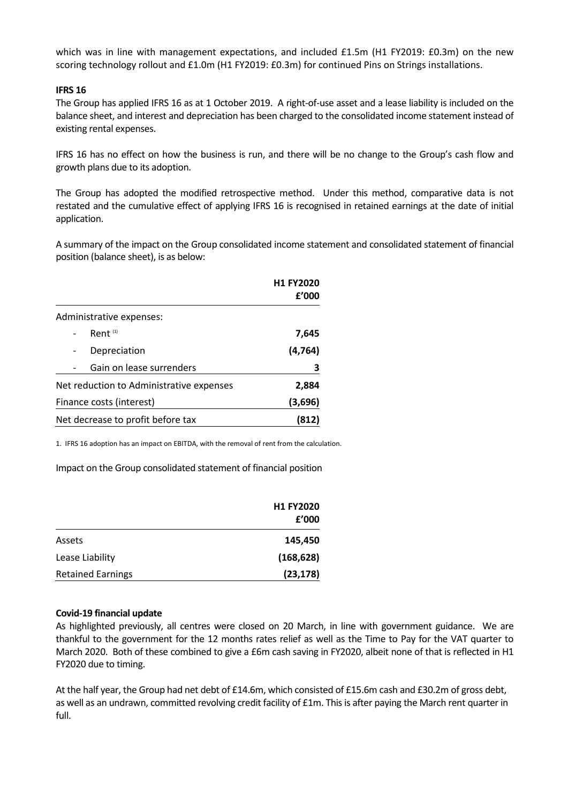which was in line with management expectations, and included £1.5m (H1 FY2019: £0.3m) on the new scoring technology rollout and £1.0m (H1 FY2019: £0.3m) for continued Pins on Strings installations.

### **IFRS 16**

The Group has applied IFRS 16 as at 1 October 2019. A right-of-use asset and a lease liability is included on the balance sheet, and interest and depreciation has been charged to the consolidated income statement instead of existing rental expenses.

IFRS 16 has no effect on how the business is run, and there will be no change to the Group's cash flow and growth plans due to its adoption.

The Group has adopted the modified retrospective method. Under this method, comparative data is not restated and the cumulative effect of applying IFRS 16 is recognised in retained earnings at the date of initial application.

A summary of the impact on the Group consolidated income statement and consolidated statement of financial position (balance sheet), is as below:

|                                          | <b>H1 FY2020</b> |
|------------------------------------------|------------------|
|                                          | £'000            |
| Administrative expenses:                 |                  |
| Rent $(1)$                               | 7,645            |
| Depreciation                             | (4, 764)         |
| Gain on lease surrenders                 | З                |
| Net reduction to Administrative expenses | 2,884            |
| Finance costs (interest)                 | (3,696)          |
| Net decrease to profit before tax        | (812)            |

1. IFRS 16 adoption has an impact on EBITDA, with the removal of rent from the calculation.

Impact on the Group consolidated statement of financial position

|                          | <b>H1 FY2020</b> |
|--------------------------|------------------|
|                          | f'000            |
| Assets                   | 145,450          |
| Lease Liability          | (168, 628)       |
| <b>Retained Earnings</b> | (23, 178)        |

#### **Covid-19 financial update**

As highlighted previously, all centres were closed on 20 March, in line with government guidance. We are thankful to the government for the 12 months rates relief as well as the Time to Pay for the VAT quarter to March 2020. Both of these combined to give a £6m cash saving in FY2020, albeit none of that is reflected in H1 FY2020 due to timing.

At the half year, the Group had net debt of £14.6m, which consisted of £15.6m cash and £30.2m of gross debt, as well as an undrawn, committed revolving credit facility of £1m. This is after paying the March rent quarter in full.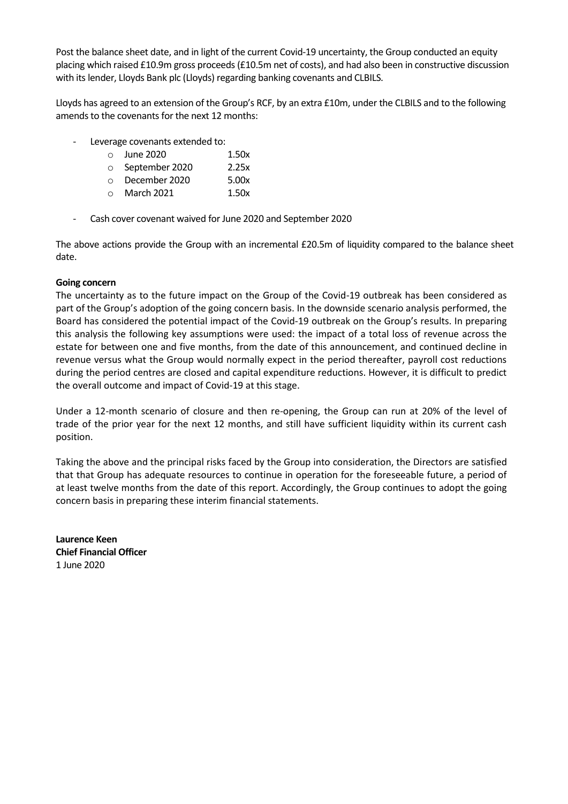Post the balance sheet date, and in light of the current Covid-19 uncertainty, the Group conducted an equity placing which raised £10.9m gross proceeds (£10.5m net of costs), and had also been in constructive discussion with its lender, Lloyds Bank plc (Lloyds) regarding banking covenants and CLBILS.

Lloyds has agreed to an extension of the Group's RCF, by an extra £10m, under the CLBILS and to the following amends to the covenants for the next 12 months:

- Leverage covenants extended to:
	- $\circ$  June 2020 1.50x
	- o September 2020 2.25x
	- o December 2020 5.00x o March 2021 1.50x
	-
- Cash cover covenant waived for June 2020 and September 2020

The above actions provide the Group with an incremental £20.5m of liquidity compared to the balance sheet date.

# **Going concern**

The uncertainty as to the future impact on the Group of the Covid-19 outbreak has been considered as part of the Group's adoption of the going concern basis. In the downside scenario analysis performed, the Board has considered the potential impact of the Covid-19 outbreak on the Group's results. In preparing this analysis the following key assumptions were used: the impact of a total loss of revenue across the estate for between one and five months, from the date of this announcement, and continued decline in revenue versus what the Group would normally expect in the period thereafter, payroll cost reductions during the period centres are closed and capital expenditure reductions. However, it is difficult to predict the overall outcome and impact of Covid-19 at this stage.

Under a 12-month scenario of closure and then re-opening, the Group can run at 20% of the level of trade of the prior year for the next 12 months, and still have sufficient liquidity within its current cash position.

Taking the above and the principal risks faced by the Group into consideration, the Directors are satisfied that that Group has adequate resources to continue in operation for the foreseeable future, a period of at least twelve months from the date of this report. Accordingly, the Group continues to adopt the going concern basis in preparing these interim financial statements.

**Laurence Keen Chief Financial Officer** 1 June 2020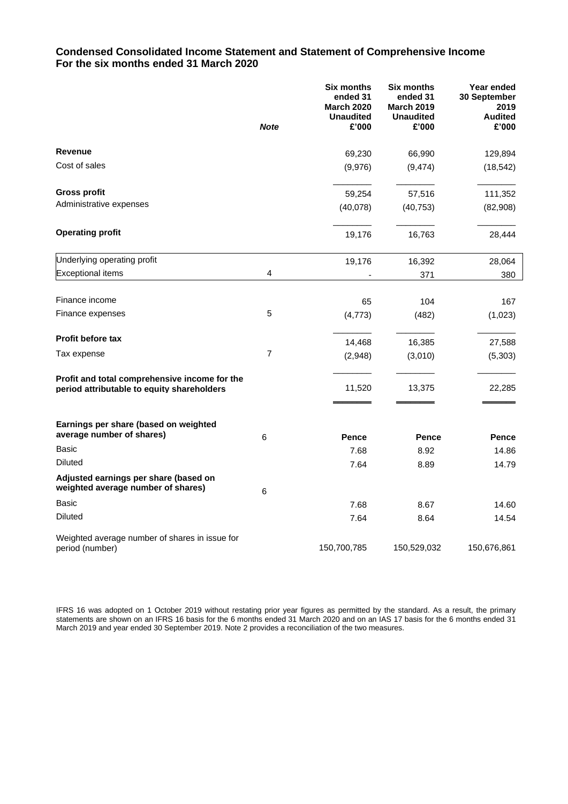## **Condensed Consolidated Income Statement and Statement of Comprehensive Income For the six months ended 31 March 2020**

|                                                                                             | <b>Note</b>    | <b>Six months</b><br>ended 31<br><b>March 2020</b><br><b>Unaudited</b><br>£'000 | <b>Six months</b><br>ended 31<br><b>March 2019</b><br><b>Unaudited</b><br>£'000 | Year ended<br>30 September<br>2019<br><b>Audited</b><br>£'000 |
|---------------------------------------------------------------------------------------------|----------------|---------------------------------------------------------------------------------|---------------------------------------------------------------------------------|---------------------------------------------------------------|
|                                                                                             |                |                                                                                 |                                                                                 |                                                               |
| <b>Revenue</b>                                                                              |                | 69,230                                                                          | 66,990                                                                          | 129,894                                                       |
| Cost of sales                                                                               |                | (9,976)                                                                         | (9, 474)                                                                        | (18, 542)                                                     |
| Gross profit                                                                                |                | 59,254                                                                          | 57,516                                                                          | 111,352                                                       |
| Administrative expenses                                                                     |                | (40,078)                                                                        | (40, 753)                                                                       | (82,908)                                                      |
| <b>Operating profit</b>                                                                     |                | 19,176                                                                          | 16,763                                                                          | 28,444                                                        |
| Underlying operating profit                                                                 |                | 19,176                                                                          | 16,392                                                                          | 28,064                                                        |
| <b>Exceptional items</b>                                                                    | 4              |                                                                                 | 371                                                                             | 380                                                           |
| Finance income                                                                              |                | 65                                                                              | 104                                                                             | 167                                                           |
| Finance expenses                                                                            | 5              | (4, 773)                                                                        | (482)                                                                           | (1,023)                                                       |
| <b>Profit before tax</b>                                                                    |                | 14,468                                                                          | 16,385                                                                          | 27,588                                                        |
| Tax expense                                                                                 | $\overline{7}$ | (2,948)                                                                         | (3,010)                                                                         | (5,303)                                                       |
| Profit and total comprehensive income for the<br>period attributable to equity shareholders |                | 11,520                                                                          | 13,375                                                                          | 22,285                                                        |
| Earnings per share (based on weighted<br>average number of shares)                          | 6              | Pence                                                                           | Pence                                                                           | <b>Pence</b>                                                  |
| <b>Basic</b>                                                                                |                | 7.68                                                                            | 8.92                                                                            | 14.86                                                         |
| <b>Diluted</b>                                                                              |                | 7.64                                                                            | 8.89                                                                            | 14.79                                                         |
| Adjusted earnings per share (based on<br>weighted average number of shares)                 | 6              |                                                                                 |                                                                                 |                                                               |
| <b>Basic</b>                                                                                |                | 7.68                                                                            | 8.67                                                                            | 14.60                                                         |
| <b>Diluted</b>                                                                              |                | 7.64                                                                            | 8.64                                                                            | 14.54                                                         |
| Weighted average number of shares in issue for<br>period (number)                           |                | 150,700,785                                                                     | 150,529,032                                                                     | 150,676,861                                                   |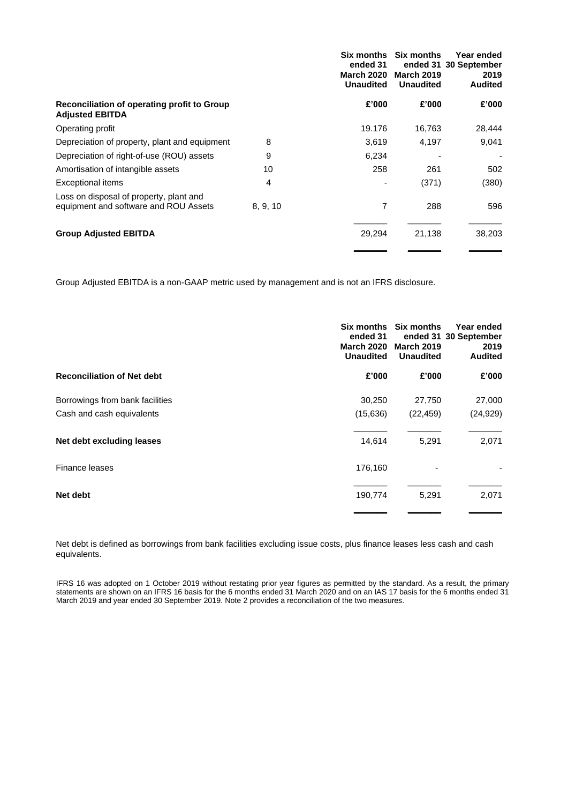|                                                                                  |          | <b>Six months</b><br>ended 31<br><b>March 2020</b><br><b>Unaudited</b> | <b>Six months</b><br><b>March 2019</b><br><b>Unaudited</b> | Year ended<br>ended 31 30 September<br>2019<br><b>Audited</b> |
|----------------------------------------------------------------------------------|----------|------------------------------------------------------------------------|------------------------------------------------------------|---------------------------------------------------------------|
| Reconciliation of operating profit to Group<br><b>Adjusted EBITDA</b>            |          | £'000                                                                  | £'000                                                      | £'000                                                         |
| Operating profit                                                                 |          | 19.176                                                                 | 16,763                                                     | 28,444                                                        |
| Depreciation of property, plant and equipment                                    | 8        | 3,619                                                                  | 4,197                                                      | 9,041                                                         |
| Depreciation of right-of-use (ROU) assets                                        | 9        | 6,234                                                                  |                                                            | $\overline{a}$                                                |
| Amortisation of intangible assets                                                | 10       | 258                                                                    | 261                                                        | 502                                                           |
| Exceptional items                                                                | 4        |                                                                        | (371)                                                      | (380)                                                         |
| Loss on disposal of property, plant and<br>equipment and software and ROU Assets | 8, 9, 10 | 7                                                                      | 288                                                        | 596                                                           |
| <b>Group Adjusted EBITDA</b>                                                     |          | 29,294                                                                 | 21,138                                                     | 38,203                                                        |
|                                                                                  |          |                                                                        |                                                            |                                                               |

Group Adjusted EBITDA is a non-GAAP metric used by management and is not an IFRS disclosure.

|                                   | ended 31<br><b>March 2020</b><br><b>Unaudited</b> | Six months Six months<br><b>March 2019</b><br><b>Unaudited</b> | Year ended<br>ended 31 30 September<br>2019<br><b>Audited</b> |
|-----------------------------------|---------------------------------------------------|----------------------------------------------------------------|---------------------------------------------------------------|
| <b>Reconciliation of Net debt</b> | £'000                                             | £'000                                                          | £'000                                                         |
| Borrowings from bank facilities   | 30,250                                            | 27,750                                                         | 27,000                                                        |
| Cash and cash equivalents         | (15, 636)                                         | (22, 459)                                                      | (24, 929)                                                     |
| Net debt excluding leases         | 14,614                                            | 5,291                                                          | 2,071                                                         |
| Finance leases                    | 176,160                                           |                                                                |                                                               |
| Net debt                          | 190,774                                           | 5,291                                                          | 2,071                                                         |
|                                   |                                                   |                                                                |                                                               |

Net debt is defined as borrowings from bank facilities excluding issue costs, plus finance leases less cash and cash equivalents.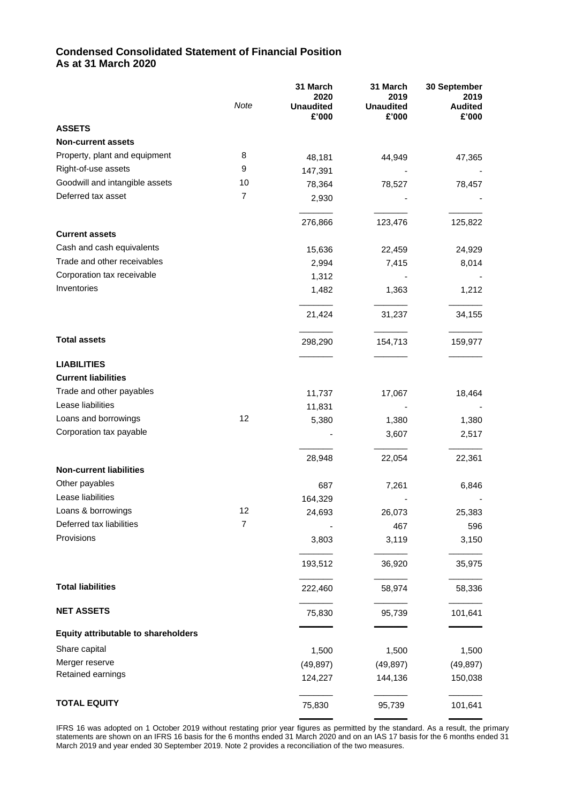# **Condensed Consolidated Statement of Financial Position As at 31 March 2020**

|                                     | Note           | 31 March<br>2020<br><b>Unaudited</b><br>£'000 | 31 March<br>2019<br><b>Unaudited</b><br>£'000 | 30 September<br>2019<br><b>Audited</b><br>£'000 |
|-------------------------------------|----------------|-----------------------------------------------|-----------------------------------------------|-------------------------------------------------|
| <b>ASSETS</b>                       |                |                                               |                                               |                                                 |
| <b>Non-current assets</b>           |                |                                               |                                               |                                                 |
| Property, plant and equipment       | 8              | 48,181                                        | 44,949                                        | 47,365                                          |
| Right-of-use assets                 | 9              | 147,391                                       |                                               |                                                 |
| Goodwill and intangible assets      | 10             | 78,364                                        | 78,527                                        | 78,457                                          |
| Deferred tax asset                  | $\overline{7}$ | 2,930                                         |                                               |                                                 |
|                                     |                | 276,866                                       | 123,476                                       | 125,822                                         |
| <b>Current assets</b>               |                |                                               |                                               |                                                 |
| Cash and cash equivalents           |                | 15,636                                        | 22,459                                        | 24,929                                          |
| Trade and other receivables         |                | 2,994                                         | 7,415                                         | 8,014                                           |
| Corporation tax receivable          |                | 1,312                                         |                                               |                                                 |
| Inventories                         |                | 1,482                                         | 1,363                                         | 1,212                                           |
|                                     |                | 21,424                                        | 31,237                                        | 34,155                                          |
| <b>Total assets</b>                 |                | 298,290                                       | 154,713                                       | 159,977                                         |
| <b>LIABILITIES</b>                  |                |                                               |                                               |                                                 |
| <b>Current liabilities</b>          |                |                                               |                                               |                                                 |
| Trade and other payables            |                | 11,737                                        | 17,067                                        | 18,464                                          |
| Lease liabilities                   |                | 11,831                                        |                                               |                                                 |
| Loans and borrowings                | 12             | 5,380                                         | 1,380                                         | 1,380                                           |
| Corporation tax payable             |                |                                               | 3,607                                         | 2,517                                           |
| <b>Non-current liabilities</b>      |                | 28,948                                        | 22,054                                        | 22,361                                          |
| Other payables                      |                |                                               |                                               |                                                 |
| Lease liabilities                   |                | 687                                           | 7,261                                         | 6,846                                           |
| Loans & borrowings                  | 12             | 164,329                                       |                                               |                                                 |
| Deferred tax liabilities            | 7              | 24,693                                        | 26,073                                        | 25,383                                          |
| Provisions                          |                |                                               | 467                                           | 596                                             |
|                                     |                | 3,803                                         | 3,119                                         | 3,150                                           |
|                                     |                | 193,512                                       | 36,920                                        | 35,975                                          |
| <b>Total liabilities</b>            |                | 222,460                                       | 58,974                                        | 58,336                                          |
| <b>NET ASSETS</b>                   |                | 75,830                                        | 95,739                                        | 101,641                                         |
| Equity attributable to shareholders |                |                                               |                                               |                                                 |
| Share capital                       |                | 1,500                                         | 1,500                                         | 1,500                                           |
| Merger reserve                      |                | (49, 897)                                     | (49, 897)                                     | (49, 897)                                       |
| Retained earnings                   |                | 124,227                                       | 144,136                                       | 150,038                                         |
| <b>TOTAL EQUITY</b>                 |                | 75,830                                        | 95,739                                        | 101,641                                         |
|                                     |                |                                               |                                               |                                                 |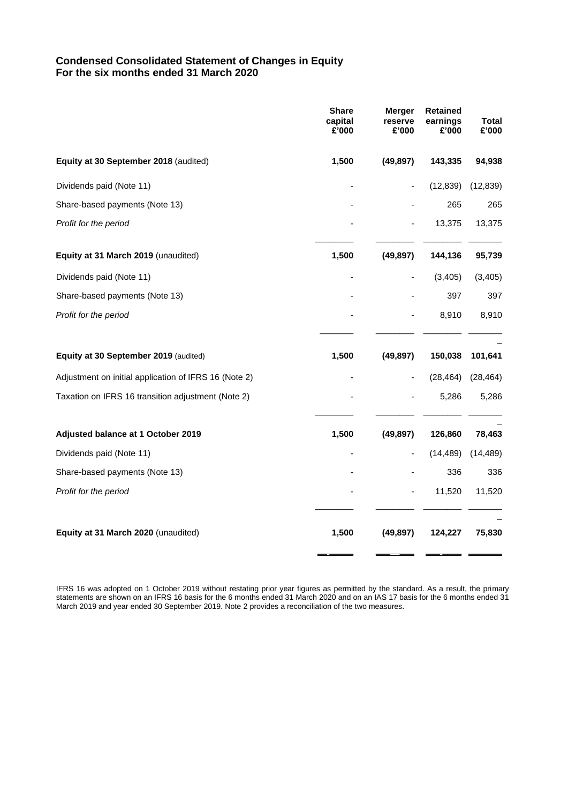# **Condensed Consolidated Statement of Changes in Equity For the six months ended 31 March 2020**

|                                                       | <b>Share</b><br>capital<br>£'000 | <b>Merger</b><br>reserve<br>£'000 | <b>Retained</b><br>earnings<br>£'000 | Total<br>£'000 |
|-------------------------------------------------------|----------------------------------|-----------------------------------|--------------------------------------|----------------|
| Equity at 30 September 2018 (audited)                 | 1,500                            | (49, 897)                         | 143,335                              | 94,938         |
| Dividends paid (Note 11)                              |                                  |                                   | (12, 839)                            | (12, 839)      |
| Share-based payments (Note 13)                        |                                  |                                   | 265                                  | 265            |
| Profit for the period                                 |                                  |                                   | 13,375                               | 13,375         |
| Equity at 31 March 2019 (unaudited)                   | 1,500                            | (49, 897)                         | 144,136                              | 95,739         |
| Dividends paid (Note 11)                              |                                  |                                   | (3,405)                              | (3, 405)       |
| Share-based payments (Note 13)                        |                                  |                                   | 397                                  | 397            |
| Profit for the period                                 |                                  |                                   | 8,910                                | 8,910          |
| Equity at 30 September 2019 (audited)                 | 1,500                            | (49, 897)                         | 150,038                              | 101,641        |
| Adjustment on initial application of IFRS 16 (Note 2) |                                  |                                   | (28, 464)                            | (28, 464)      |
| Taxation on IFRS 16 transition adjustment (Note 2)    |                                  |                                   | 5,286                                | 5,286          |
| Adjusted balance at 1 October 2019                    | 1,500                            | (49, 897)                         | 126,860                              | 78,463         |
| Dividends paid (Note 11)                              |                                  |                                   | (14, 489)                            | (14, 489)      |
| Share-based payments (Note 13)                        |                                  |                                   | 336                                  | 336            |
| Profit for the period                                 |                                  |                                   | 11,520                               | 11,520         |
| Equity at 31 March 2020 (unaudited)                   | 1,500                            | (49, 897)                         | 124,227                              | 75,830         |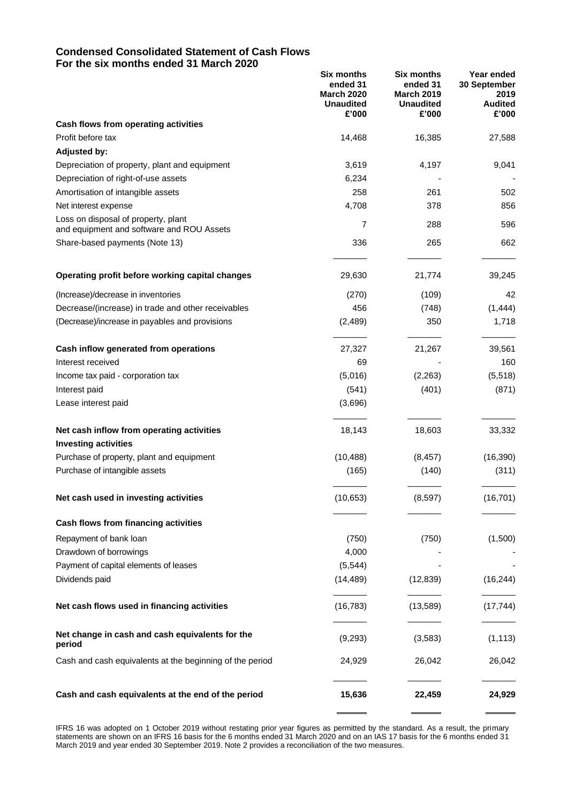### **Condensed Consolidated Statement of Cash Flows For the six months ended 31 March 2020**

|                                                                                  | <b>Six months</b><br>ended 31<br><b>March 2020</b><br><b>Unaudited</b><br>£'000 | <b>Six months</b><br>ended 31<br><b>March 2019</b><br><b>Unaudited</b><br>£'000 | Year ended<br>30 September<br>2019<br><b>Audited</b><br>£'000 |
|----------------------------------------------------------------------------------|---------------------------------------------------------------------------------|---------------------------------------------------------------------------------|---------------------------------------------------------------|
| Cash flows from operating activities                                             |                                                                                 |                                                                                 |                                                               |
| Profit before tax                                                                | 14,468                                                                          | 16,385                                                                          | 27,588                                                        |
| <b>Adjusted by:</b>                                                              |                                                                                 |                                                                                 |                                                               |
| Depreciation of property, plant and equipment                                    | 3,619                                                                           | 4,197                                                                           | 9,041                                                         |
| Depreciation of right-of-use assets                                              | 6,234                                                                           |                                                                                 |                                                               |
| Amortisation of intangible assets                                                | 258                                                                             | 261                                                                             | 502                                                           |
| Net interest expense                                                             | 4,708                                                                           | 378                                                                             | 856                                                           |
| Loss on disposal of property, plant<br>and equipment and software and ROU Assets | 7                                                                               | 288                                                                             | 596                                                           |
| Share-based payments (Note 13)                                                   | 336                                                                             | 265                                                                             | 662                                                           |
| Operating profit before working capital changes                                  | 29,630                                                                          | 21,774                                                                          | 39,245                                                        |
| (Increase)/decrease in inventories                                               | (270)                                                                           | (109)                                                                           | 42                                                            |
| Decrease/(increase) in trade and other receivables                               | 456                                                                             | (748)                                                                           | (1, 444)                                                      |
| (Decrease)/increase in payables and provisions                                   | (2,489)                                                                         | 350                                                                             | 1,718                                                         |
| Cash inflow generated from operations                                            | 27,327                                                                          | 21,267                                                                          | 39,561                                                        |
| Interest received                                                                | 69                                                                              |                                                                                 | 160                                                           |
| Income tax paid - corporation tax                                                | (5,016)                                                                         | (2, 263)                                                                        | (5,518)                                                       |
| Interest paid                                                                    | (541)                                                                           | (401)                                                                           | (871)                                                         |
| Lease interest paid                                                              | (3,696)                                                                         |                                                                                 |                                                               |
| Net cash inflow from operating activities                                        | 18,143                                                                          | 18,603                                                                          | 33,332                                                        |
| <b>Investing activities</b>                                                      |                                                                                 |                                                                                 |                                                               |
| Purchase of property, plant and equipment                                        | (10, 488)                                                                       | (8, 457)                                                                        | (16, 390)                                                     |
| Purchase of intangible assets                                                    | (165)                                                                           | (140)                                                                           | (311)                                                         |
| Net cash used in investing activities                                            | (10, 653)                                                                       | (8, 597)                                                                        | (16, 701)                                                     |
| Cash flows from financing activities                                             |                                                                                 |                                                                                 |                                                               |
| Repayment of bank loan                                                           | (750)                                                                           | (750)                                                                           | (1,500)                                                       |
| Drawdown of borrowings                                                           | 4,000                                                                           |                                                                                 |                                                               |
| Payment of capital elements of leases                                            | (5, 544)                                                                        |                                                                                 |                                                               |
| Dividends paid                                                                   | (14, 489)                                                                       | (12, 839)                                                                       | (16, 244)                                                     |
| Net cash flows used in financing activities                                      | (16, 783)                                                                       | (13,589)                                                                        | (17, 744)                                                     |
| Net change in cash and cash equivalents for the<br>period                        | (9,293)                                                                         | (3, 583)                                                                        | (1, 113)                                                      |
| Cash and cash equivalents at the beginning of the period                         | 24,929                                                                          | 26,042                                                                          | 26,042                                                        |
| Cash and cash equivalents at the end of the period                               | 15,636                                                                          | 22,459                                                                          | 24,929                                                        |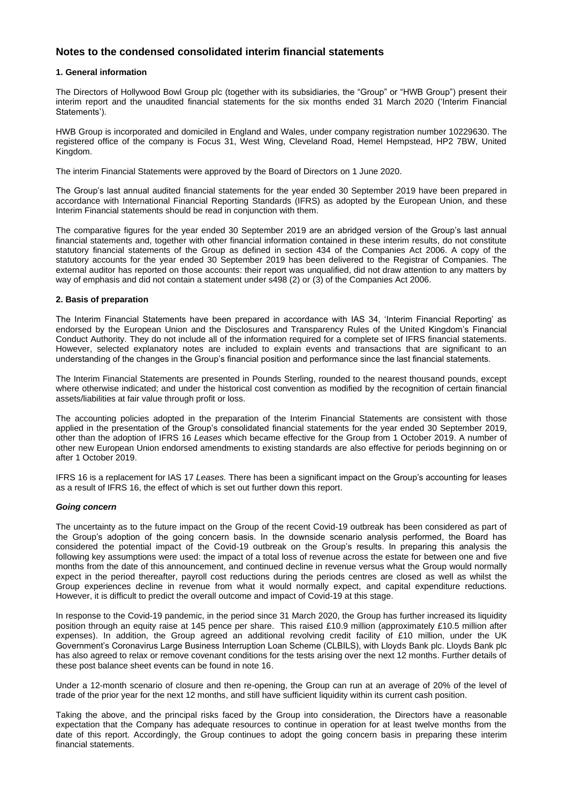## **Notes to the condensed consolidated interim financial statements**

#### **1. General information**

The Directors of Hollywood Bowl Group plc (together with its subsidiaries, the "Group" or "HWB Group") present their interim report and the unaudited financial statements for the six months ended 31 March 2020 ('Interim Financial Statements').

HWB Group is incorporated and domiciled in England and Wales, under company registration number 10229630. The registered office of the company is Focus 31, West Wing, Cleveland Road, Hemel Hempstead, HP2 7BW, United Kingdom.

The interim Financial Statements were approved by the Board of Directors on 1 June 2020.

The Group's last annual audited financial statements for the year ended 30 September 2019 have been prepared in accordance with International Financial Reporting Standards (IFRS) as adopted by the European Union, and these Interim Financial statements should be read in conjunction with them.

The comparative figures for the year ended 30 September 2019 are an abridged version of the Group's last annual financial statements and, together with other financial information contained in these interim results, do not constitute statutory financial statements of the Group as defined in section 434 of the Companies Act 2006. A copy of the statutory accounts for the year ended 30 September 2019 has been delivered to the Registrar of Companies. The external auditor has reported on those accounts: their report was unqualified, did not draw attention to any matters by way of emphasis and did not contain a statement under s498 (2) or (3) of the Companies Act 2006.

#### **2. Basis of preparation**

The Interim Financial Statements have been prepared in accordance with IAS 34, 'Interim Financial Reporting' as endorsed by the European Union and the Disclosures and Transparency Rules of the United Kingdom's Financial Conduct Authority. They do not include all of the information required for a complete set of IFRS financial statements. However, selected explanatory notes are included to explain events and transactions that are significant to an understanding of the changes in the Group's financial position and performance since the last financial statements.

The Interim Financial Statements are presented in Pounds Sterling, rounded to the nearest thousand pounds, except where otherwise indicated; and under the historical cost convention as modified by the recognition of certain financial assets/liabilities at fair value through profit or loss.

The accounting policies adopted in the preparation of the Interim Financial Statements are consistent with those applied in the presentation of the Group's consolidated financial statements for the year ended 30 September 2019, other than the adoption of IFRS 16 *Leases* which became effective for the Group from 1 October 2019. A number of other new European Union endorsed amendments to existing standards are also effective for periods beginning on or after 1 October 2019.

IFRS 16 is a replacement for IAS 17 *Leases.* There has been a significant impact on the Group's accounting for leases as a result of IFRS 16, the effect of which is set out further down this report.

#### *Going concern*

The uncertainty as to the future impact on the Group of the recent Covid-19 outbreak has been considered as part of the Group's adoption of the going concern basis. In the downside scenario analysis performed, the Board has considered the potential impact of the Covid-19 outbreak on the Group's results. In preparing this analysis the following key assumptions were used: the impact of a total loss of revenue across the estate for between one and five months from the date of this announcement, and continued decline in revenue versus what the Group would normally expect in the period thereafter, payroll cost reductions during the periods centres are closed as well as whilst the Group experiences decline in revenue from what it would normally expect, and capital expenditure reductions. However, it is difficult to predict the overall outcome and impact of Covid-19 at this stage.

In response to the Covid-19 pandemic, in the period since 31 March 2020, the Group has further increased its liquidity position through an equity raise at 145 pence per share. This raised £10.9 million (approximately £10.5 million after expenses). In addition, the Group agreed an additional revolving credit facility of £10 million, under the UK Government's Coronavirus Large Business Interruption Loan Scheme (CLBILS), with Lloyds Bank plc. Lloyds Bank plc has also agreed to relax or remove covenant conditions for the tests arising over the next 12 months. Further details of these post balance sheet events can be found in note 16.

Under a 12-month scenario of closure and then re-opening, the Group can run at an average of 20% of the level of trade of the prior year for the next 12 months, and still have sufficient liquidity within its current cash position.

Taking the above, and the principal risks faced by the Group into consideration, the Directors have a reasonable expectation that the Company has adequate resources to continue in operation for at least twelve months from the date of this report. Accordingly, the Group continues to adopt the going concern basis in preparing these interim financial statements.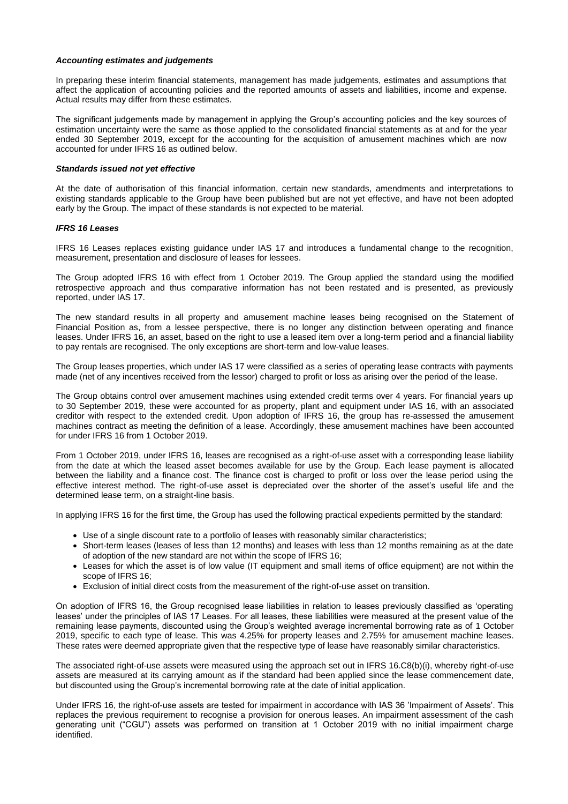#### *Accounting estimates and judgements*

In preparing these interim financial statements, management has made judgements, estimates and assumptions that affect the application of accounting policies and the reported amounts of assets and liabilities, income and expense. Actual results may differ from these estimates.

The significant judgements made by management in applying the Group's accounting policies and the key sources of estimation uncertainty were the same as those applied to the consolidated financial statements as at and for the year ended 30 September 2019, except for the accounting for the acquisition of amusement machines which are now accounted for under IFRS 16 as outlined below.

#### *Standards issued not yet effective*

At the date of authorisation of this financial information, certain new standards, amendments and interpretations to existing standards applicable to the Group have been published but are not yet effective, and have not been adopted early by the Group. The impact of these standards is not expected to be material.

#### *IFRS 16 Leases*

IFRS 16 Leases replaces existing guidance under IAS 17 and introduces a fundamental change to the recognition, measurement, presentation and disclosure of leases for lessees.

The Group adopted IFRS 16 with effect from 1 October 2019. The Group applied the standard using the modified retrospective approach and thus comparative information has not been restated and is presented, as previously reported, under IAS 17.

The new standard results in all property and amusement machine leases being recognised on the Statement of Financial Position as, from a lessee perspective, there is no longer any distinction between operating and finance leases. Under IFRS 16, an asset, based on the right to use a leased item over a long-term period and a financial liability to pay rentals are recognised. The only exceptions are short-term and low-value leases.

The Group leases properties, which under IAS 17 were classified as a series of operating lease contracts with payments made (net of any incentives received from the lessor) charged to profit or loss as arising over the period of the lease.

The Group obtains control over amusement machines using extended credit terms over 4 years. For financial years up to 30 September 2019, these were accounted for as property, plant and equipment under IAS 16, with an associated creditor with respect to the extended credit. Upon adoption of IFRS 16, the group has re-assessed the amusement machines contract as meeting the definition of a lease. Accordingly, these amusement machines have been accounted for under IFRS 16 from 1 October 2019.

From 1 October 2019, under IFRS 16, leases are recognised as a right-of-use asset with a corresponding lease liability from the date at which the leased asset becomes available for use by the Group. Each lease payment is allocated between the liability and a finance cost. The finance cost is charged to profit or loss over the lease period using the effective interest method. The right-of-use asset is depreciated over the shorter of the asset's useful life and the determined lease term, on a straight-line basis.

In applying IFRS 16 for the first time, the Group has used the following practical expedients permitted by the standard:

- Use of a single discount rate to a portfolio of leases with reasonably similar characteristics;
- Short-term leases (leases of less than 12 months) and leases with less than 12 months remaining as at the date of adoption of the new standard are not within the scope of IFRS 16;
- Leases for which the asset is of low value (IT equipment and small items of office equipment) are not within the scope of IFRS 16;
- Exclusion of initial direct costs from the measurement of the right-of-use asset on transition.

On adoption of IFRS 16, the Group recognised lease liabilities in relation to leases previously classified as 'operating leases' under the principles of IAS 17 Leases. For all leases, these liabilities were measured at the present value of the remaining lease payments, discounted using the Group's weighted average incremental borrowing rate as of 1 October 2019, specific to each type of lease. This was 4.25% for property leases and 2.75% for amusement machine leases. These rates were deemed appropriate given that the respective type of lease have reasonably similar characteristics.

The associated right-of-use assets were measured using the approach set out in IFRS 16.C8(b)(i), whereby right-of-use assets are measured at its carrying amount as if the standard had been applied since the lease commencement date, but discounted using the Group's incremental borrowing rate at the date of initial application.

Under IFRS 16, the right-of-use assets are tested for impairment in accordance with IAS 36 'Impairment of Assets'. This replaces the previous requirement to recognise a provision for onerous leases. An impairment assessment of the cash generating unit ("CGU") assets was performed on transition at 1 October 2019 with no initial impairment charge identified.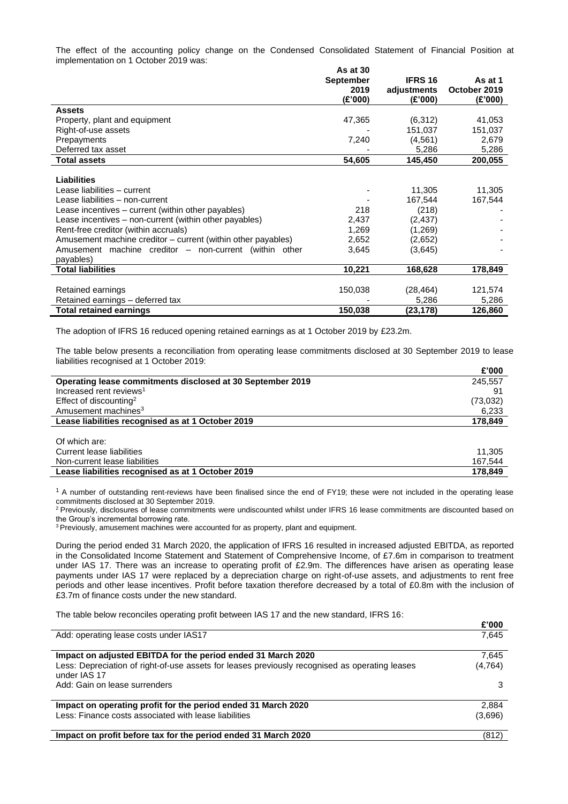The effect of the accounting policy change on the Condensed Consolidated Statement of Financial Position at implementation on 1 October 2019 was:

|                                                              | As at 30         |                |              |
|--------------------------------------------------------------|------------------|----------------|--------------|
|                                                              | <b>September</b> | <b>IFRS 16</b> | As at 1      |
|                                                              | 2019             | adjustments    | October 2019 |
|                                                              | (E'000)          | (£'000)        | (£'000)      |
| Assets                                                       |                  |                |              |
| Property, plant and equipment                                | 47,365           | (6,312)        | 41,053       |
| Right-of-use assets                                          |                  | 151,037        | 151,037      |
| Prepayments                                                  | 7,240            | (4, 561)       | 2,679        |
| Deferred tax asset                                           |                  | 5,286          | 5,286        |
| <b>Total assets</b>                                          | 54,605           | 145,450        | 200,055      |
|                                                              |                  |                |              |
| <b>Liabilities</b>                                           |                  |                |              |
| Lease liabilities – current                                  |                  | 11,305         | 11,305       |
| Lease liabilities - non-current                              |                  | 167,544        | 167,544      |
| Lease incentives – current (within other payables)           | 218              | (218)          |              |
| Lease incentives - non-current (within other payables)       | 2,437            | (2, 437)       |              |
| Rent-free creditor (within accruals)                         | 1,269            | (1,269)        |              |
| Amusement machine creditor – current (within other payables) | 2,652            | (2,652)        |              |
| Amusement machine creditor – non-current (within other       | 3,645            | (3,645)        |              |
| payables)                                                    |                  |                |              |
| <b>Total liabilities</b>                                     | 10,221           | 168,628        | 178,849      |
|                                                              |                  |                |              |
| Retained earnings                                            | 150,038          | (28,464)       | 121,574      |
| Retained earnings - deferred tax                             |                  | 5,286          | 5,286        |
| <b>Total retained earnings</b>                               | 150,038          | (23,178)       | 126,860      |

The adoption of IFRS 16 reduced opening retained earnings as at 1 October 2019 by £23.2m.

The table below presents a reconciliation from operating lease commitments disclosed at 30 September 2019 to lease liabilities recognised at 1 October 2019: **£'000**

|                                                            | £'000     |
|------------------------------------------------------------|-----------|
| Operating lease commitments disclosed at 30 September 2019 | 245,557   |
| Increased rent reviews <sup>1</sup>                        | -91       |
| Effect of discounting <sup>2</sup>                         | (73, 032) |
| Amusement machines <sup>3</sup>                            | 6,233     |
| Lease liabilities recognised as at 1 October 2019          | 178,849   |
|                                                            |           |
| Of which are:                                              |           |
| Current lease liabilities                                  | 11,305    |
| Non-current lease liabilities                              | 167,544   |
| Lease liabilities recognised as at 1 October 2019          | 178.849   |

 $1$  A number of outstanding rent-reviews have been finalised since the end of FY19; these were not included in the operating lease commitments disclosed at 30 September 2019.

<sup>2</sup> Previously, disclosures of lease commitments were undiscounted whilst under IFRS 16 lease commitments are discounted based on the Group's incremental borrowing rate.

<sup>3</sup> Previously, amusement machines were accounted for as property, plant and equipment.

During the period ended 31 March 2020, the application of IFRS 16 resulted in increased adjusted EBITDA, as reported in the Consolidated Income Statement and Statement of Comprehensive Income, of £7.6m in comparison to treatment under IAS 17. There was an increase to operating profit of £2.9m. The differences have arisen as operating lease payments under IAS 17 were replaced by a depreciation charge on right-of-use assets, and adjustments to rent free periods and other lease incentives. Profit before taxation therefore decreased by a total of £0.8m with the inclusion of £3.7m of finance costs under the new standard.

**£'000**

The table below reconciles operating profit between IAS 17 and the new standard, IFRS 16:

|                                                                                                                                                                                | L UUU             |
|--------------------------------------------------------------------------------------------------------------------------------------------------------------------------------|-------------------|
| Add: operating lease costs under IAS17                                                                                                                                         | 7,645             |
| Impact on adjusted EBITDA for the period ended 31 March 2020<br>Less: Depreciation of right-of-use assets for leases previously recognised as operating leases<br>under IAS 17 | 7.645<br>(4, 764) |
| Add: Gain on lease surrenders                                                                                                                                                  | 3                 |
| Impact on operating profit for the period ended 31 March 2020<br>Less: Finance costs associated with lease liabilities                                                         | 2,884<br>(3,696)  |
| Impact on profit before tax for the period ended 31 March 2020                                                                                                                 | (812)             |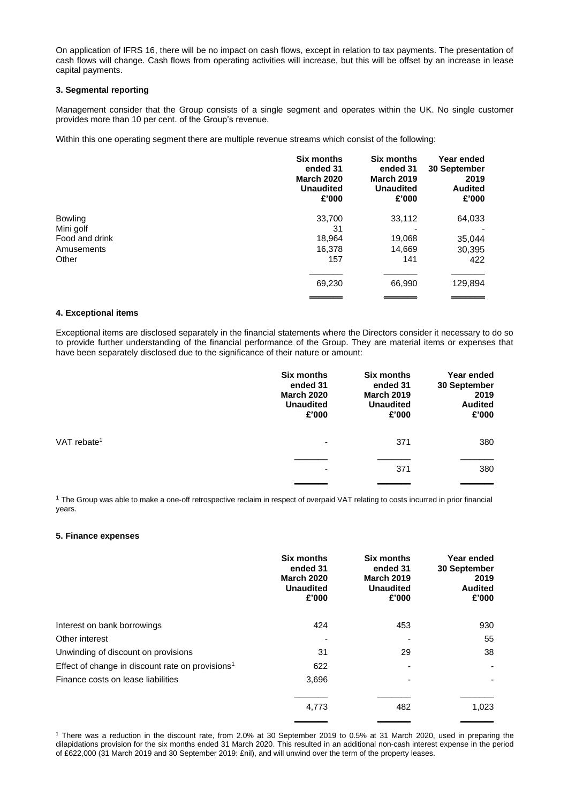On application of IFRS 16, there will be no impact on cash flows, except in relation to tax payments. The presentation of cash flows will change. Cash flows from operating activities will increase, but this will be offset by an increase in lease capital payments.

#### **3. Segmental reporting**

Management consider that the Group consists of a single segment and operates within the UK. No single customer provides more than 10 per cent. of the Group's revenue.

Within this one operating segment there are multiple revenue streams which consist of the following:

|                | <b>Six months</b><br>ended 31<br><b>March 2020</b><br><b>Unaudited</b><br>£'000 | <b>Six months</b><br>ended 31<br><b>March 2019</b><br><b>Unaudited</b><br>£'000 | Year ended<br>30 September<br>2019<br><b>Audited</b><br>£'000 |
|----------------|---------------------------------------------------------------------------------|---------------------------------------------------------------------------------|---------------------------------------------------------------|
| <b>Bowling</b> | 33,700                                                                          | 33,112                                                                          | 64,033                                                        |
| Mini golf      | 31                                                                              |                                                                                 |                                                               |
| Food and drink | 18,964                                                                          | 19,068                                                                          | 35,044                                                        |
| Amusements     | 16,378                                                                          | 14,669                                                                          | 30,395                                                        |
| Other          | 157                                                                             | 141                                                                             | 422                                                           |
|                | 69,230                                                                          | 66,990                                                                          | 129,894                                                       |

#### **4. Exceptional items**

Exceptional items are disclosed separately in the financial statements where the Directors consider it necessary to do so to provide further understanding of the financial performance of the Group. They are material items or expenses that have been separately disclosed due to the significance of their nature or amount:

|                         | <b>Six months</b><br>ended 31<br><b>March 2020</b><br><b>Unaudited</b><br>£'000 | <b>Six months</b><br>ended 31<br><b>March 2019</b><br><b>Unaudited</b><br>£'000 | Year ended<br>30 September<br>2019<br><b>Audited</b><br>£'000 |
|-------------------------|---------------------------------------------------------------------------------|---------------------------------------------------------------------------------|---------------------------------------------------------------|
| VAT rebate <sup>1</sup> | -                                                                               | 371                                                                             | 380                                                           |
|                         | ۰                                                                               | 371                                                                             | 380                                                           |

<sup>1</sup> The Group was able to make a one-off retrospective reclaim in respect of overpaid VAT relating to costs incurred in prior financial years.

#### **5. Finance expenses**

|                                                              | Six months<br>ended 31<br><b>March 2020</b><br><b>Unaudited</b><br>£'000 | <b>Six months</b><br>ended 31<br><b>March 2019</b><br><b>Unaudited</b><br>£'000 | Year ended<br>30 September<br>2019<br><b>Audited</b><br>£'000 |
|--------------------------------------------------------------|--------------------------------------------------------------------------|---------------------------------------------------------------------------------|---------------------------------------------------------------|
| Interest on bank borrowings                                  | 424                                                                      | 453                                                                             | 930                                                           |
| Other interest                                               |                                                                          |                                                                                 | 55                                                            |
| Unwinding of discount on provisions                          | 31                                                                       | 29                                                                              | 38                                                            |
| Effect of change in discount rate on provisions <sup>1</sup> | 622                                                                      |                                                                                 |                                                               |
| Finance costs on lease liabilities                           | 3,696                                                                    |                                                                                 |                                                               |
|                                                              | 4,773                                                                    | 482                                                                             | 1,023                                                         |

<sup>1</sup> There was a reduction in the discount rate, from 2.0% at 30 September 2019 to 0.5% at 31 March 2020, used in preparing the dilapidations provision for the six months ended 31 March 2020. This resulted in an additional non-cash interest expense in the period of £622,000 (31 March 2019 and 30 September 2019: £nil), and will unwind over the term of the property leases.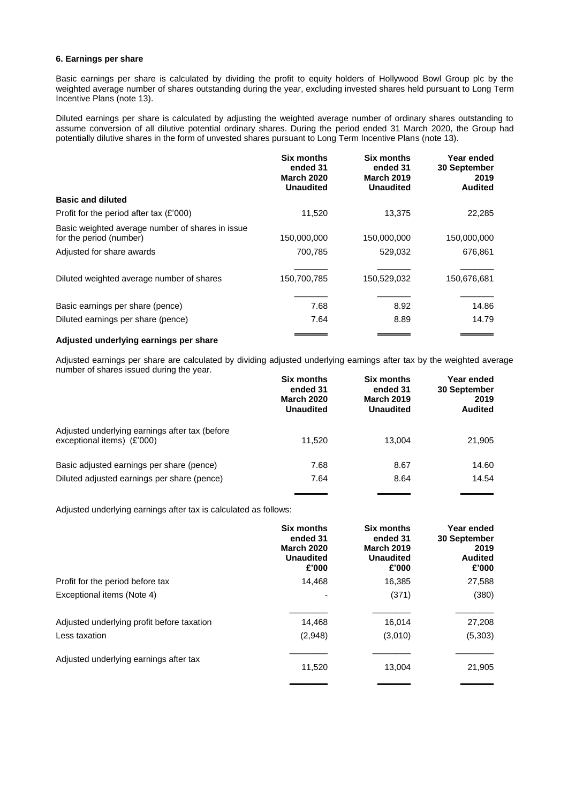#### **6. Earnings per share**

Basic earnings per share is calculated by dividing the profit to equity holders of Hollywood Bowl Group plc by the weighted average number of shares outstanding during the year, excluding invested shares held pursuant to Long Term Incentive Plans (note 13).

Diluted earnings per share is calculated by adjusting the weighted average number of ordinary shares outstanding to assume conversion of all dilutive potential ordinary shares. During the period ended 31 March 2020, the Group had potentially dilutive shares in the form of unvested shares pursuant to Long Term Incentive Plans (note 13).

|                                                                             | <b>Six months</b><br>ended 31<br><b>March 2020</b><br><b>Unaudited</b> | <b>Six months</b><br>ended 31<br><b>March 2019</b><br><b>Unaudited</b> | Year ended<br>30 September<br>2019<br><b>Audited</b> |
|-----------------------------------------------------------------------------|------------------------------------------------------------------------|------------------------------------------------------------------------|------------------------------------------------------|
| <b>Basic and diluted</b>                                                    |                                                                        |                                                                        |                                                      |
| Profit for the period after tax $(E'000)$                                   | 11,520                                                                 | 13.375                                                                 | 22,285                                               |
| Basic weighted average number of shares in issue<br>for the period (number) | 150,000,000                                                            | 150,000,000                                                            | 150,000,000                                          |
| Adjusted for share awards                                                   | 700,785                                                                | 529,032                                                                | 676,861                                              |
| Diluted weighted average number of shares                                   | 150,700,785                                                            | 150,529,032                                                            | 150,676,681                                          |
| Basic earnings per share (pence)                                            | 7.68                                                                   | 8.92                                                                   | 14.86                                                |
| Diluted earnings per share (pence)                                          | 7.64                                                                   | 8.89                                                                   | 14.79                                                |
|                                                                             |                                                                        |                                                                        |                                                      |

#### **Adjusted underlying earnings per share**

Adjusted earnings per share are calculated by dividing adjusted underlying earnings after tax by the weighted average number of shares issued during the year.

|                                                                              | <b>Six months</b><br>ended 31<br><b>March 2020</b><br><b>Unaudited</b> | <b>Six months</b><br>ended 31<br><b>March 2019</b><br><b>Unaudited</b> | Year ended<br>30 September<br>2019<br><b>Audited</b> |
|------------------------------------------------------------------------------|------------------------------------------------------------------------|------------------------------------------------------------------------|------------------------------------------------------|
| Adjusted underlying earnings after tax (before<br>exceptional items) (£'000) | 11.520                                                                 | 13.004                                                                 | 21,905                                               |
| Basic adjusted earnings per share (pence)                                    | 7.68                                                                   | 8.67                                                                   | 14.60                                                |
| Diluted adjusted earnings per share (pence)                                  | 7.64                                                                   | 8.64                                                                   | 14.54                                                |
|                                                                              |                                                                        |                                                                        |                                                      |

Adjusted underlying earnings after tax is calculated as follows:

|                                            | <b>Six months</b><br>ended 31<br><b>March 2020</b><br><b>Unaudited</b><br>£'000 | <b>Six months</b><br>ended 31<br><b>March 2019</b><br><b>Unaudited</b><br>£'000 | Year ended<br><b>30 September</b><br>2019<br><b>Audited</b><br>£'000 |
|--------------------------------------------|---------------------------------------------------------------------------------|---------------------------------------------------------------------------------|----------------------------------------------------------------------|
| Profit for the period before tax           | 14,468                                                                          | 16,385                                                                          | 27,588                                                               |
| Exceptional items (Note 4)                 |                                                                                 | (371)                                                                           | (380)                                                                |
| Adjusted underlying profit before taxation | 14,468                                                                          | 16,014                                                                          | 27,208                                                               |
| Less taxation                              | (2,948)                                                                         | (3,010)                                                                         | (5,303)                                                              |
| Adjusted underlying earnings after tax     | 11,520                                                                          | 13.004                                                                          | 21,905                                                               |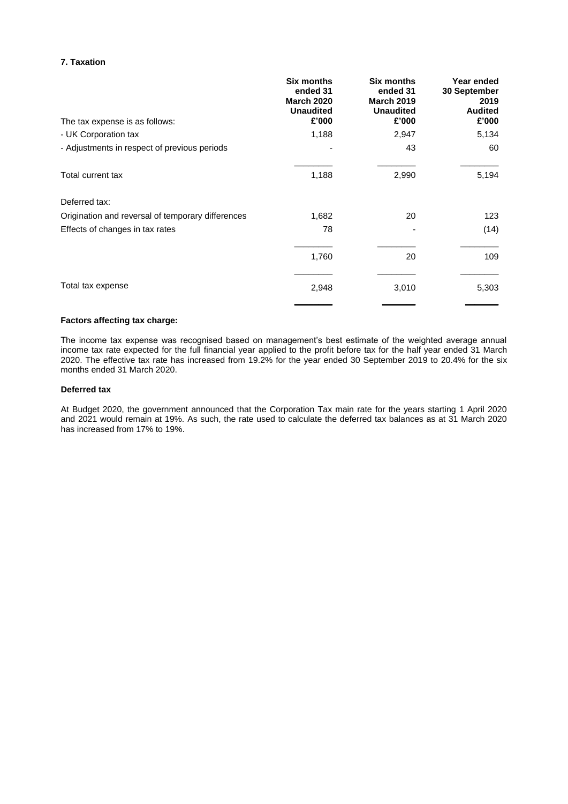#### **7. Taxation**

| The tax expense is as follows:                    | <b>Six months</b><br>ended 31<br><b>March 2020</b><br><b>Unaudited</b><br>£'000 | <b>Six months</b><br>ended 31<br><b>March 2019</b><br><b>Unaudited</b><br>£'000 | Year ended<br>30 September<br>2019<br><b>Audited</b><br>£'000 |
|---------------------------------------------------|---------------------------------------------------------------------------------|---------------------------------------------------------------------------------|---------------------------------------------------------------|
| - UK Corporation tax                              | 1,188                                                                           | 2,947                                                                           | 5,134                                                         |
| - Adjustments in respect of previous periods      |                                                                                 | 43                                                                              | 60                                                            |
| Total current tax                                 | 1,188                                                                           | 2,990                                                                           | 5,194                                                         |
| Deferred tax:                                     |                                                                                 |                                                                                 |                                                               |
| Origination and reversal of temporary differences | 1,682                                                                           | 20                                                                              | 123                                                           |
| Effects of changes in tax rates                   | 78                                                                              |                                                                                 | (14)                                                          |
|                                                   | 1,760                                                                           | 20                                                                              | 109                                                           |
| Total tax expense                                 | 2,948                                                                           | 3,010                                                                           | 5,303                                                         |

#### **Factors affecting tax charge:**

The income tax expense was recognised based on management's best estimate of the weighted average annual income tax rate expected for the full financial year applied to the profit before tax for the half year ended 31 March 2020. The effective tax rate has increased from 19.2% for the year ended 30 September 2019 to 20.4% for the six months ended 31 March 2020.

#### **Deferred tax**

At Budget 2020, the government announced that the Corporation Tax main rate for the years starting 1 April 2020 and 2021 would remain at 19%. As such, the rate used to calculate the deferred tax balances as at 31 March 2020 has increased from 17% to 19%.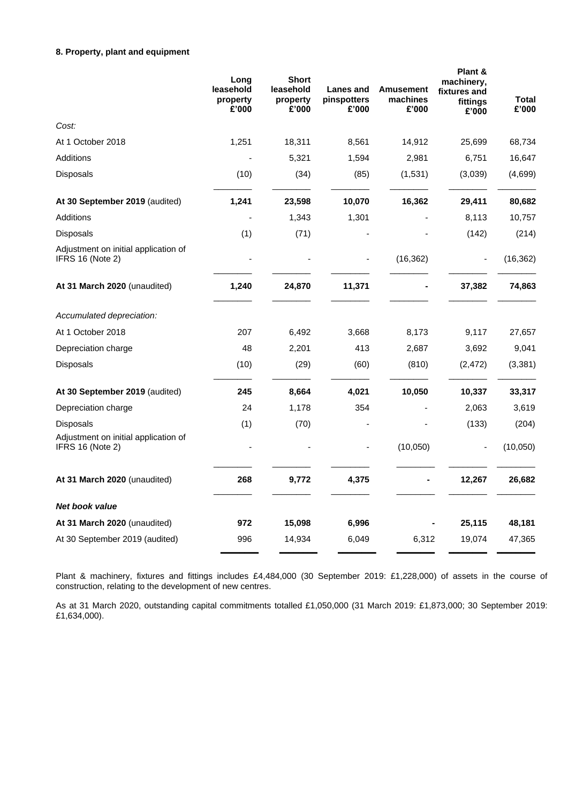## **8. Property, plant and equipment**

|                                                          | Long<br>leasehold<br>property<br>£'000 | <b>Short</b><br>leasehold<br>property<br>£'000 | Lanes and<br>pinspotters<br>£'000 | <b>Amusement</b><br>machines<br>£'000 | Plant &<br>machinery,<br>fixtures and<br>fittings<br>£'000 | Total<br>£'000 |
|----------------------------------------------------------|----------------------------------------|------------------------------------------------|-----------------------------------|---------------------------------------|------------------------------------------------------------|----------------|
| Cost:                                                    |                                        |                                                |                                   |                                       |                                                            |                |
| At 1 October 2018                                        | 1,251                                  | 18,311                                         | 8,561                             | 14,912                                | 25,699                                                     | 68,734         |
| Additions                                                |                                        | 5,321                                          | 1,594                             | 2,981                                 | 6,751                                                      | 16,647         |
| Disposals                                                | (10)                                   | (34)                                           | (85)                              | (1,531)                               | (3,039)                                                    | (4,699)        |
| At 30 September 2019 (audited)                           | 1,241                                  | 23,598                                         | 10,070                            | 16,362                                | 29,411                                                     | 80,682         |
| Additions                                                |                                        | 1,343                                          | 1,301                             |                                       | 8,113                                                      | 10,757         |
| Disposals                                                | (1)                                    | (71)                                           |                                   |                                       | (142)                                                      | (214)          |
| Adjustment on initial application of<br>IFRS 16 (Note 2) |                                        |                                                |                                   | (16, 362)                             |                                                            | (16, 362)      |
| At 31 March 2020 (unaudited)                             | 1,240                                  | 24,870                                         | 11,371                            |                                       | 37,382                                                     | 74,863         |
| Accumulated depreciation:                                |                                        |                                                |                                   |                                       |                                                            |                |
| At 1 October 2018                                        | 207                                    | 6,492                                          | 3,668                             | 8,173                                 | 9,117                                                      | 27,657         |
| Depreciation charge                                      | 48                                     | 2,201                                          | 413                               | 2,687                                 | 3,692                                                      | 9,041          |
| Disposals                                                | (10)                                   | (29)                                           | (60)                              | (810)                                 | (2, 472)                                                   | (3, 381)       |
| At 30 September 2019 (audited)                           | 245                                    | 8,664                                          | 4,021                             | 10,050                                | 10,337                                                     | 33,317         |
| Depreciation charge                                      | 24                                     | 1,178                                          | 354                               |                                       | 2,063                                                      | 3,619          |
| Disposals                                                | (1)                                    | (70)                                           |                                   |                                       | (133)                                                      | (204)          |
| Adjustment on initial application of<br>IFRS 16 (Note 2) |                                        |                                                |                                   | (10,050)                              | $\blacksquare$                                             | (10,050)       |
| At 31 March 2020 (unaudited)                             | 268                                    | 9,772                                          | 4,375                             |                                       | 12,267                                                     | 26,682         |
| Net book value                                           |                                        |                                                |                                   |                                       |                                                            |                |
| At 31 March 2020 (unaudited)                             | 972                                    | 15,098                                         | 6,996                             |                                       | 25,115                                                     | 48,181         |
| At 30 September 2019 (audited)                           | 996                                    | 14,934                                         | 6,049                             | 6,312                                 | 19,074                                                     | 47,365         |

Plant & machinery, fixtures and fittings includes £4,484,000 (30 September 2019: £1,228,000) of assets in the course of construction, relating to the development of new centres.  $\overline{a}$  $\overline{\phantom{a}}$ 

As at 31 March 2020, outstanding capital commitments totalled £1,050,000 (31 March 2019: £1,873,000; 30 September 2019: \_ £1,634,000).  $\overline{\phantom{a}}$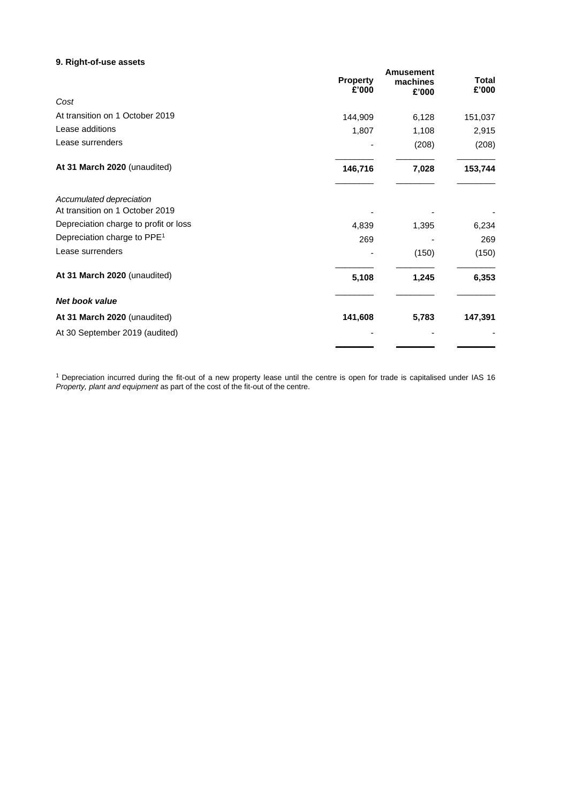### **9. Right-of-use assets**

| <b>Property</b><br>£'000                                    | <b>Amusement</b><br>machines<br>£'000 | <b>Total</b><br>£'000 |
|-------------------------------------------------------------|---------------------------------------|-----------------------|
| Cost                                                        |                                       |                       |
| At transition on 1 October 2019<br>144,909                  | 6,128                                 | 151,037               |
| Lease additions<br>1,807                                    | 1,108                                 | 2,915                 |
| Lease surrenders                                            | (208)                                 | (208)                 |
| At 31 March 2020 (unaudited)<br>146,716                     | 7,028                                 | 153,744               |
| Accumulated depreciation<br>At transition on 1 October 2019 |                                       |                       |
| Depreciation charge to profit or loss<br>4,839              | 1,395                                 | 6,234                 |
| Depreciation charge to PPE <sup>1</sup>                     | 269                                   | 269                   |
| Lease surrenders                                            | (150)                                 | (150)                 |
| At 31 March 2020 (unaudited)<br>5,108                       | 1,245                                 | 6,353                 |
| <b>Net book value</b>                                       |                                       |                       |
| At 31 March 2020 (unaudited)<br>141,608                     | 5,783                                 | 147,391               |
| At 30 September 2019 (audited)                              |                                       |                       |

 $1$  Depreciation incurred during the fit-out of a new property lease until the centre is open for trade is capitalised under IAS 16 *Property, plant and equipment* as part of the cost of the fit-out of the centre.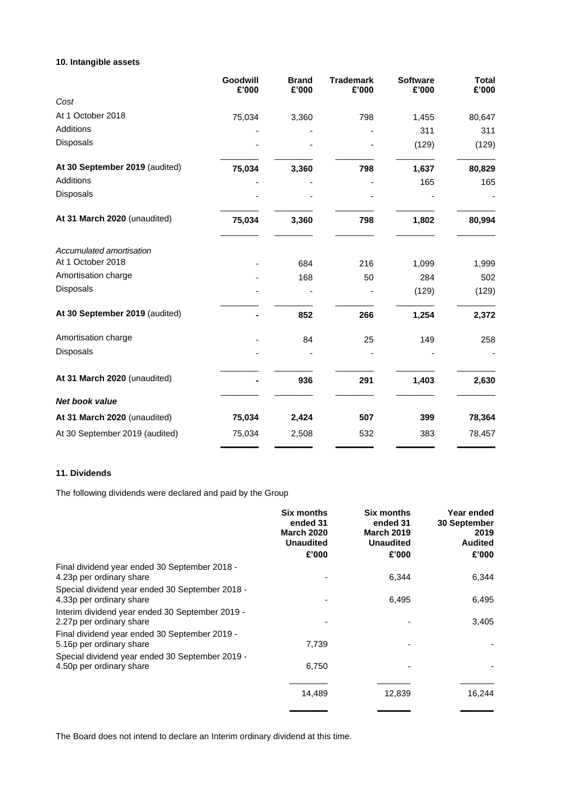# **10. Intangible assets**

|                                | Goodwill<br>£'000 | <b>Brand</b><br>£'000 | <b>Trademark</b><br>£'000 | <b>Software</b><br>£'000 | <b>Total</b><br>£'000 |
|--------------------------------|-------------------|-----------------------|---------------------------|--------------------------|-----------------------|
| Cost                           |                   |                       |                           |                          |                       |
| At 1 October 2018              | 75,034            | 3,360                 | 798                       | 1,455                    | 80,647                |
| Additions                      |                   |                       |                           | 311                      | 311                   |
| Disposals                      |                   |                       |                           | (129)                    | (129)                 |
| At 30 September 2019 (audited) | 75,034            | 3,360                 | 798                       | 1,637                    | 80,829                |
| Additions                      |                   |                       |                           | 165                      | 165                   |
| Disposals                      |                   |                       |                           |                          |                       |
| At 31 March 2020 (unaudited)   | 75,034            | 3,360                 | 798                       | 1,802                    | 80,994                |
| Accumulated amortisation       |                   |                       |                           |                          |                       |
| At 1 October 2018              |                   | 684                   | 216                       | 1,099                    | 1,999                 |
| Amortisation charge            |                   | 168                   | 50                        | 284                      | 502                   |
| Disposals                      |                   |                       |                           | (129)                    | (129)                 |
| At 30 September 2019 (audited) |                   | 852                   | 266                       | 1,254                    | 2,372                 |
| Amortisation charge            |                   | 84                    | 25                        | 149                      | 258                   |
| Disposals                      |                   |                       |                           |                          |                       |
| At 31 March 2020 (unaudited)   |                   | 936                   | 291                       | 1,403                    | 2,630                 |
| <b>Net book value</b>          |                   |                       |                           |                          |                       |
| At 31 March 2020 (unaudited)   | 75,034            | 2,424                 | 507                       | 399                      | 78,364                |
| At 30 September 2019 (audited) | 75,034            | 2,508                 | 532                       | 383                      | 78,457                |

### **11. Dividends**

The following dividends were declared and paid by the Group

|                                                                             | Six months<br>ended 31<br><b>March 2020</b><br><b>Unaudited</b><br>£'000 | <b>Six months</b><br>ended 31<br><b>March 2019</b><br><b>Unaudited</b><br>£'000 | Year ended<br>30 September<br>2019<br><b>Audited</b><br>£'000 |
|-----------------------------------------------------------------------------|--------------------------------------------------------------------------|---------------------------------------------------------------------------------|---------------------------------------------------------------|
| Final dividend year ended 30 September 2018 -                               |                                                                          |                                                                                 |                                                               |
| 4.23p per ordinary share                                                    |                                                                          | 6,344                                                                           | 6,344                                                         |
| Special dividend year ended 30 September 2018 -<br>4.33p per ordinary share |                                                                          | 6,495                                                                           | 6,495                                                         |
| Interim dividend year ended 30 September 2019 -<br>2.27p per ordinary share |                                                                          |                                                                                 | 3,405                                                         |
| Final dividend year ended 30 September 2019 -<br>5.16p per ordinary share   | 7,739                                                                    |                                                                                 |                                                               |
| Special dividend year ended 30 September 2019 -<br>4.50p per ordinary share | 6,750                                                                    |                                                                                 |                                                               |
|                                                                             | 14,489                                                                   | 12,839                                                                          | 16,244                                                        |
|                                                                             |                                                                          |                                                                                 |                                                               |

The Board does not intend to declare an Interim ordinary dividend at this time.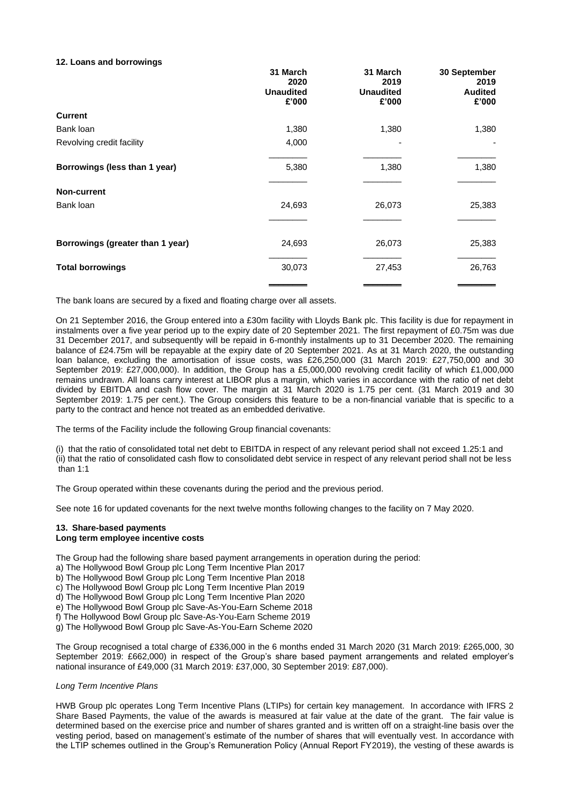#### **12. Loans and borrowings**

|                                  | 31 March<br>2020<br><b>Unaudited</b><br>£'000 | 31 March<br>2019<br><b>Unaudited</b><br>£'000 | 30 September<br>2019<br><b>Audited</b><br>£'000 |
|----------------------------------|-----------------------------------------------|-----------------------------------------------|-------------------------------------------------|
| <b>Current</b>                   |                                               |                                               |                                                 |
| Bank loan                        | 1,380                                         | 1,380                                         | 1,380                                           |
| Revolving credit facility        | 4,000                                         |                                               |                                                 |
| Borrowings (less than 1 year)    | 5,380                                         | 1,380                                         | 1,380                                           |
| <b>Non-current</b>               |                                               |                                               |                                                 |
| Bank loan                        | 24,693                                        | 26,073                                        | 25,383                                          |
|                                  |                                               |                                               |                                                 |
| Borrowings (greater than 1 year) | 24,693                                        | 26,073                                        | 25,383                                          |
| <b>Total borrowings</b>          | 30,073                                        | 27,453                                        | 26,763                                          |
|                                  |                                               |                                               |                                                 |

The bank loans are secured by a fixed and floating charge over all assets.

On 21 September 2016, the Group entered into a £30m facility with Lloyds Bank plc. This facility is due for repayment in instalments over a five year period up to the expiry date of 20 September 2021. The first repayment of £0.75m was due 31 December 2017, and subsequently will be repaid in 6-monthly instalments up to 31 December 2020. The remaining balance of £24.75m will be repayable at the expiry date of 20 September 2021. As at 31 March 2020, the outstanding loan balance, excluding the amortisation of issue costs, was £26,250,000 (31 March 2019: £27,750,000 and 30 September 2019: £27,000,000). In addition, the Group has a £5,000,000 revolving credit facility of which £1,000,000 remains undrawn. All loans carry interest at LIBOR plus a margin, which varies in accordance with the ratio of net debt divided by EBITDA and cash flow cover. The margin at 31 March 2020 is 1.75 per cent. (31 March 2019 and 30 September 2019: 1.75 per cent.). The Group considers this feature to be a non-financial variable that is specific to a party to the contract and hence not treated as an embedded derivative.

The terms of the Facility include the following Group financial covenants:

(i) that the ratio of consolidated total net debt to EBITDA in respect of any relevant period shall not exceed 1.25:1 and (ii) that the ratio of consolidated cash flow to consolidated debt service in respect of any relevant period shall not be less than 1:1

The Group operated within these covenants during the period and the previous period.

See note 16 for updated covenants for the next twelve months following changes to the facility on 7 May 2020.

#### **13. Share-based payments Long term employee incentive costs**

The Group had the following share based payment arrangements in operation during the period:

- a) The Hollywood Bowl Group plc Long Term Incentive Plan 2017
- b) The Hollywood Bowl Group plc Long Term Incentive Plan 2018
- c) The Hollywood Bowl Group plc Long Term Incentive Plan 2019
- d) The Hollywood Bowl Group plc Long Term Incentive Plan 2020
- e) The Hollywood Bowl Group plc Save-As-You-Earn Scheme 2018
- f) The Hollywood Bowl Group plc Save-As-You-Earn Scheme 2019
- g) The Hollywood Bowl Group plc Save-As-You-Earn Scheme 2020

The Group recognised a total charge of £336,000 in the 6 months ended 31 March 2020 (31 March 2019: £265,000, 30 September 2019: £662,000) in respect of the Group's share based payment arrangements and related employer's national insurance of £49,000 (31 March 2019: £37,000, 30 September 2019: £87,000).

#### *Long Term Incentive Plans*

HWB Group plc operates Long Term Incentive Plans (LTIPs) for certain key management. In accordance with IFRS 2 Share Based Payments, the value of the awards is measured at fair value at the date of the grant. The fair value is determined based on the exercise price and number of shares granted and is written off on a straight-line basis over the vesting period, based on management's estimate of the number of shares that will eventually vest. In accordance with the LTIP schemes outlined in the Group's Remuneration Policy (Annual Report FY2019), the vesting of these awards is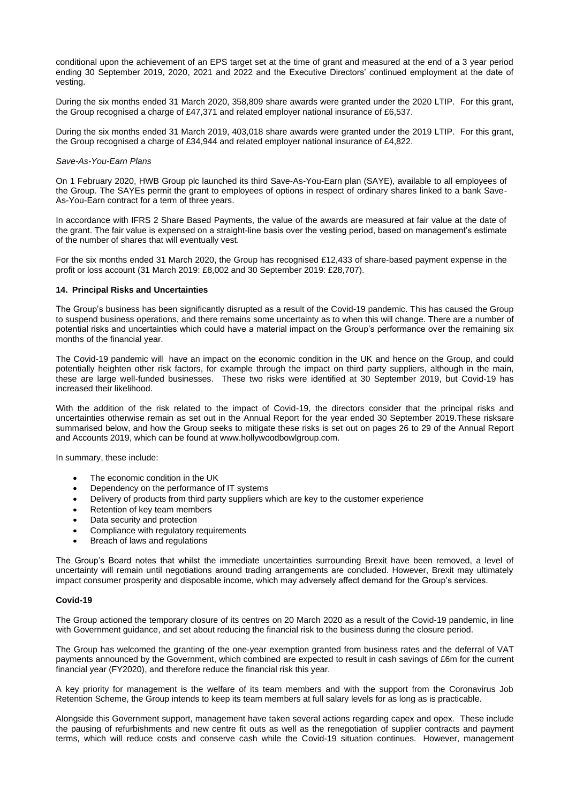conditional upon the achievement of an EPS target set at the time of grant and measured at the end of a 3 year period ending 30 September 2019, 2020, 2021 and 2022 and the Executive Directors' continued employment at the date of vesting.

During the six months ended 31 March 2020, 358,809 share awards were granted under the 2020 LTIP. For this grant, the Group recognised a charge of £47,371 and related employer national insurance of £6,537.

During the six months ended 31 March 2019, 403,018 share awards were granted under the 2019 LTIP. For this grant, the Group recognised a charge of £34,944 and related employer national insurance of £4,822.

#### *Save-As-You-Earn Plans*

On 1 February 2020, HWB Group plc launched its third Save-As-You-Earn plan (SAYE), available to all employees of the Group. The SAYEs permit the grant to employees of options in respect of ordinary shares linked to a bank Save-As-You-Earn contract for a term of three years.

In accordance with IFRS 2 Share Based Payments, the value of the awards are measured at fair value at the date of the grant. The fair value is expensed on a straight-line basis over the vesting period, based on management's estimate of the number of shares that will eventually vest.

For the six months ended 31 March 2020, the Group has recognised £12,433 of share-based payment expense in the profit or loss account (31 March 2019: £8,002 and 30 September 2019: £28,707).

#### **14. Principal Risks and Uncertainties**

The Group's business has been significantly disrupted as a result of the Covid-19 pandemic. This has caused the Group to suspend business operations, and there remains some uncertainty as to when this will change. There are a number of potential risks and uncertainties which could have a material impact on the Group's performance over the remaining six months of the financial year.

The Covid-19 pandemic will have an impact on the economic condition in the UK and hence on the Group, and could potentially heighten other risk factors, for example through the impact on third party suppliers, although in the main, these are large well-funded businesses. These two risks were identified at 30 September 2019, but Covid-19 has increased their likelihood.

With the addition of the risk related to the impact of Covid-19, the directors consider that the principal risks and uncertainties otherwise remain as set out in the Annual Report for the year ended 30 September 2019.These risksare summarised below, and how the Group seeks to mitigate these risks is set out on pages 26 to 29 of the Annual Report and Accounts 2019, which can be found a[t www.hollywoodbowlgroup.com.](http://www.hollywoodbowlgroup.com/)

In summary, these include:

- The economic condition in the UK
- Dependency on the performance of IT systems
- Delivery of products from third party suppliers which are key to the customer experience
- Retention of key team members
- Data security and protection
- Compliance with regulatory requirements
- Breach of laws and regulations

The Group's Board notes that whilst the immediate uncertainties surrounding Brexit have been removed, a level of uncertainty will remain until negotiations around trading arrangements are concluded. However, Brexit may ultimately impact consumer prosperity and disposable income, which may adversely affect demand for the Group's services.

#### **Covid-19**

The Group actioned the temporary closure of its centres on 20 March 2020 as a result of the Covid-19 pandemic, in line with Government guidance, and set about reducing the financial risk to the business during the closure period.

The Group has welcomed the granting of the one-year exemption granted from business rates and the deferral of VAT payments announced by the Government, which combined are expected to result in cash savings of £6m for the current financial year (FY2020), and therefore reduce the financial risk this year.

A key priority for management is the welfare of its team members and with the support from the Coronavirus Job Retention Scheme, the Group intends to keep its team members at full salary levels for as long as is practicable.

Alongside this Government support, management have taken several actions regarding capex and opex. These include the pausing of refurbishments and new centre fit outs as well as the renegotiation of supplier contracts and payment terms, which will reduce costs and conserve cash while the Covid-19 situation continues. However, management